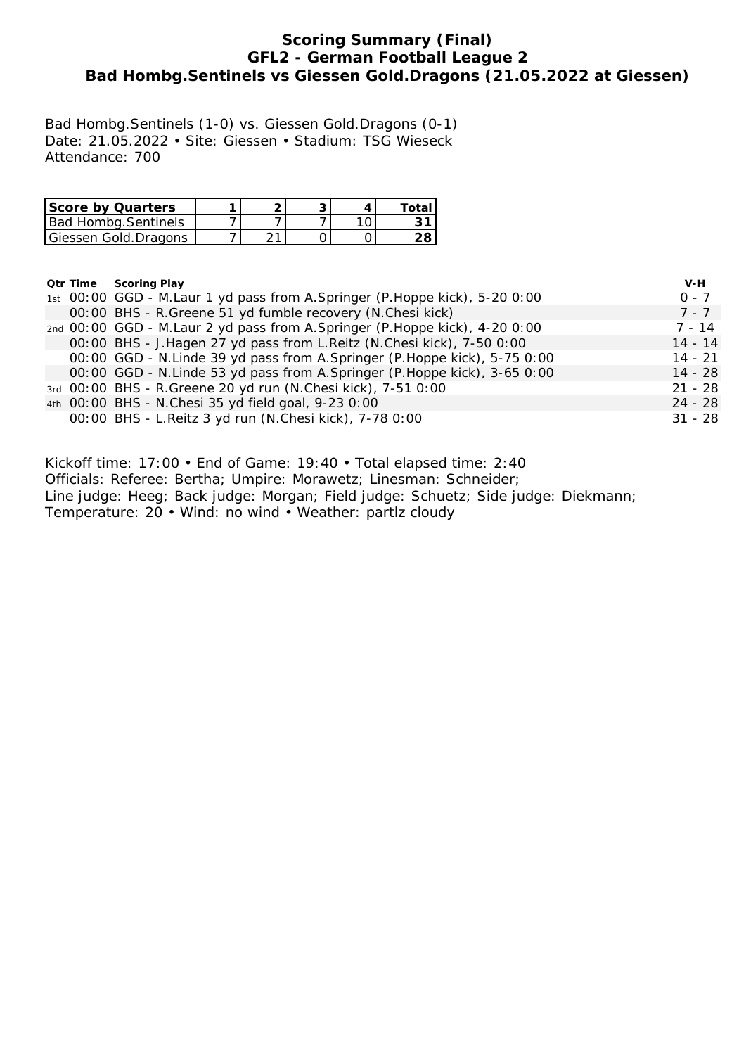### **Scoring Summary (Final) GFL2 - German Football League 2 Bad Hombg.Sentinels vs Giessen Gold.Dragons (21.05.2022 at Giessen)**

Bad Hombg.Sentinels (1-0) vs. Giessen Gold.Dragons (0-1) Date: 21.05.2022 • Site: Giessen • Stadium: TSG Wieseck Attendance: 700

| <b>Score by Quarters</b> |  |  | Total |
|--------------------------|--|--|-------|
| Bad Hombg.Sentinels      |  |  |       |
| Giessen Gold.Dragons     |  |  | 28.   |

#### **Qtr Time Scoring Play V-H**

|  | 1st 00:00 GGD - M.Laur 1 yd pass from A.Springer (P.Hoppe kick), 5-20 0:00 | $0 - 7$   |
|--|----------------------------------------------------------------------------|-----------|
|  | 00:00 BHS - R.Greene 51 yd fumble recovery (N.Chesi kick)                  | $7 - 7$   |
|  | 2nd 00:00 GGD - M.Laur 2 yd pass from A.Springer (P.Hoppe kick), 4-20 0:00 | 7 - 14    |
|  | 00:00 BHS - J.Hagen 27 yd pass from L.Reitz (N.Chesi kick), 7-50 0:00      | $14 - 14$ |
|  | 00:00 GGD - N.Linde 39 yd pass from A.Springer (P.Hoppe kick), 5-75 0:00   | $14 - 21$ |
|  | 00:00 GGD - N.Linde 53 yd pass from A.Springer (P.Hoppe kick), 3-65 0:00   | $14 - 28$ |
|  | 3rd 00:00 BHS - R.Greene 20 yd run (N.Chesi kick), 7-51 0:00               | $21 - 28$ |
|  | 4th 00:00 BHS - N.Chesi 35 yd field goal, 9-23 0:00                        | $24 - 28$ |
|  | 00:00 BHS - L.Reitz 3 yd run (N.Chesi kick), 7-78 0:00                     | $31 - 28$ |
|  |                                                                            |           |

Kickoff time: 17:00 • End of Game: 19:40 • Total elapsed time: 2:40

Officials: Referee: Bertha; Umpire: Morawetz; Linesman: Schneider;

Line judge: Heeg; Back judge: Morgan; Field judge: Schuetz; Side judge: Diekmann;

Temperature: 20 • Wind: no wind • Weather: partlz cloudy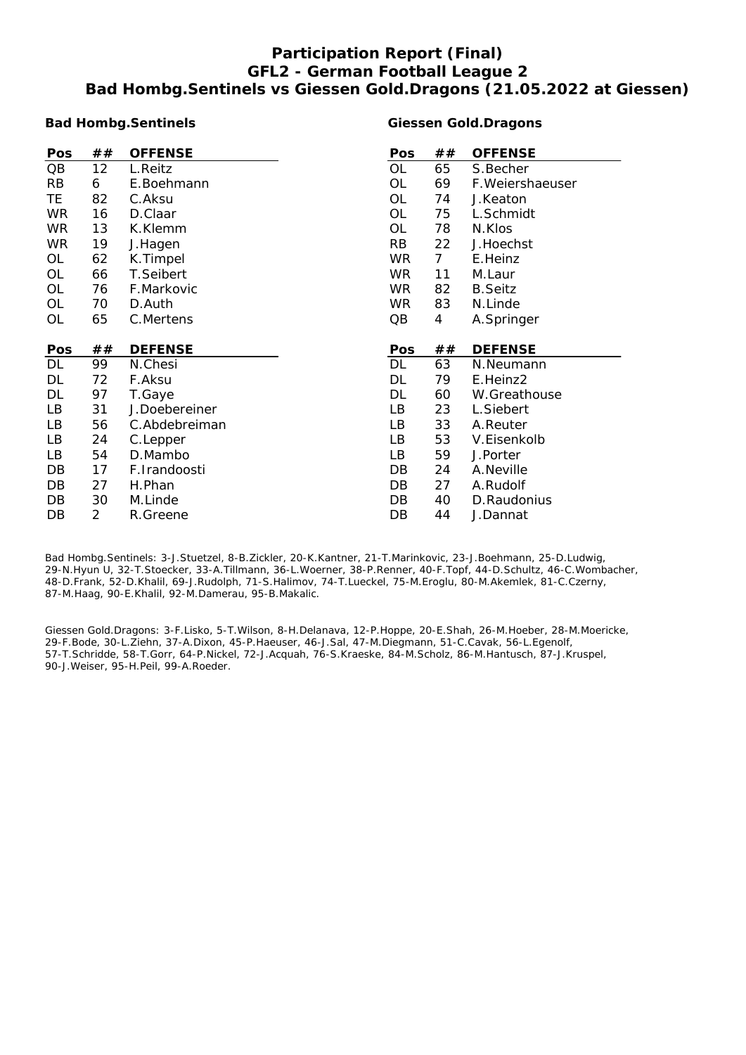## **Participation Report (Final) GFL2 - German Football League 2 Bad Hombg.Sentinels vs Giessen Gold.Dragons (21.05.2022 at Giessen)**

#### **Bad Hombg.Sentinels**

#### **Giessen Gold.Dragons**

| Pos       | ## | <b>OFFENSE</b> | Pos       | ##             | <b>OFFENSE</b>   |
|-----------|----|----------------|-----------|----------------|------------------|
| QB        | 12 | L.Reitz        | OL        | 65             | S.Becher         |
| <b>RB</b> | 6  | E.Boehmann     | OL        | 69             | F. Weiershaeuser |
| TE        | 82 | C.Aksu         | OL        | 74             | J.Keaton         |
| <b>WR</b> | 16 | D.Claar        | <b>OL</b> | 75             | L.Schmidt        |
| <b>WR</b> | 13 | K.Klemm        | OL        | 78             | N.Klos           |
| WR.       | 19 | J.Hagen        | <b>RB</b> | 22             | J.Hoechst        |
| OL        | 62 | K.Timpel       | <b>WR</b> | $\overline{7}$ | E.Heinz          |
| OL        | 66 | T.Seibert      | WR.       | 11             | M.Laur           |
| OL        | 76 | F.Markovic     | <b>WR</b> | 82             | <b>B.Seitz</b>   |
| OL        | 70 | D.Auth         | <b>WR</b> | 83             | N.Linde          |
| OL        | 65 | C.Mertens      | QB        | 4              | A.Springer       |
|           |    |                |           |                |                  |
|           |    |                |           |                |                  |
| Pos       | ## | <b>DEFENSE</b> | Pos       | ##             | <b>DEFENSE</b>   |
| DL        | 99 | N.Chesi        | <b>DL</b> | 63             | N.Neumann        |
| DL        | 72 | F.Aksu         | DL        | 79             | E.Heinz2         |
| DL        | 97 | T.Gaye         | DL        | 60             | W.Greathouse     |
| LB        | 31 | J.Doebereiner  | LB        | 23             | L.Siebert        |
| LB        | 56 | C.Abdebreiman  | LB        | 33             | A.Reuter         |
| LB        | 24 | C.Lepper       | LB        | 53             | V.Eisenkolb      |
| LB        | 54 | D.Mambo        | LB        | 59             | J.Porter         |
| DB        | 17 | F.Irandoosti   | DB        | 24             | A.Neville        |
| DB        | 27 | H.Phan         | DB        | 27             | A.Rudolf         |
| DB        | 30 | M.Linde        | DB        | 40             | D.Raudonius      |

Bad Hombg.Sentinels: 3-J.Stuetzel, 8-B.Zickler, 20-K.Kantner, 21-T.Marinkovic, 23-J.Boehmann, 25-D.Ludwig, 29-N.Hyun U, 32-T.Stoecker, 33-A.Tillmann, 36-L.Woerner, 38-P.Renner, 40-F.Topf, 44-D.Schultz, 46-C.Wombacher, 48-D.Frank, 52-D.Khalil, 69-J.Rudolph, 71-S.Halimov, 74-T.Lueckel, 75-M.Eroglu, 80-M.Akemlek, 81-C.Czerny, 87-M.Haag, 90-E.Khalil, 92-M.Damerau, 95-B.Makalic.

Giessen Gold.Dragons: 3-F.Lisko, 5-T.Wilson, 8-H.Delanava, 12-P.Hoppe, 20-E.Shah, 26-M.Hoeber, 28-M.Moericke, 29-F.Bode, 30-L.Ziehn, 37-A.Dixon, 45-P.Haeuser, 46-J.Sal, 47-M.Diegmann, 51-C.Cavak, 56-L.Egenolf, 57-T.Schridde, 58-T.Gorr, 64-P.Nickel, 72-J.Acquah, 76-S.Kraeske, 84-M.Scholz, 86-M.Hantusch, 87-J.Kruspel, 90-J.Weiser, 95-H.Peil, 99-A.Roeder.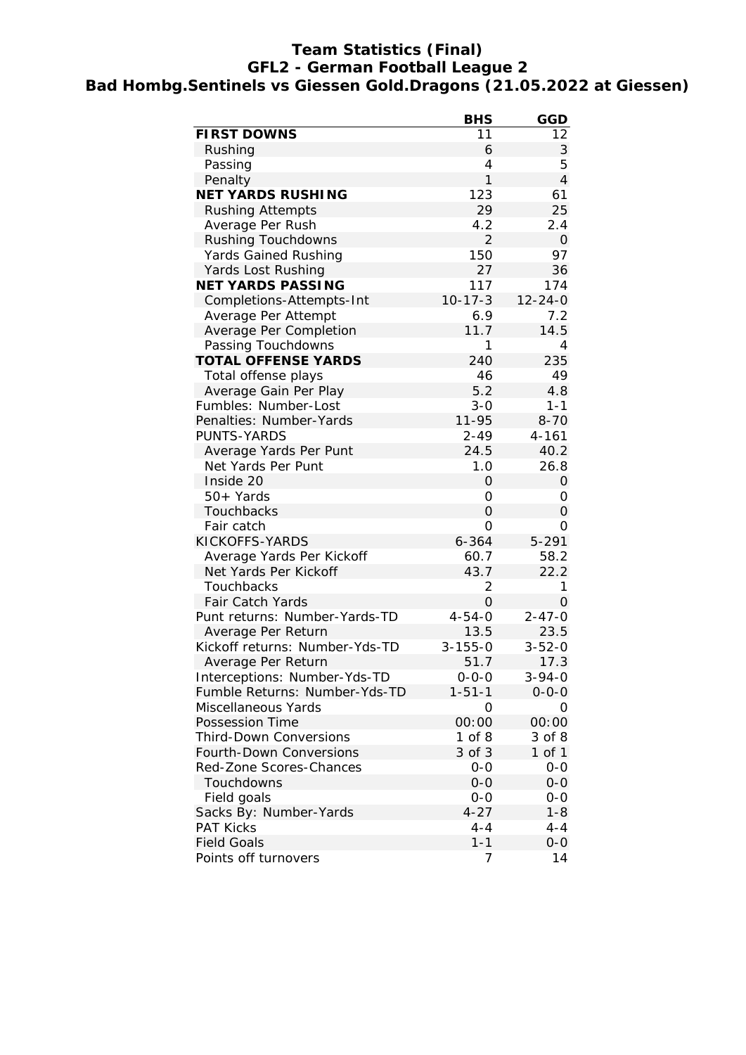### **Team Statistics (Final) GFL2 - German Football League 2 Bad Hombg.Sentinels vs Giessen Gold.Dragons (21.05.2022 at Giessen)**

|                                | <b>BHS</b>     | GGD            |
|--------------------------------|----------------|----------------|
| <b>FIRST DOWNS</b>             | 11             | 12             |
| Rushing                        | 6              | 3              |
| Passing                        | 4              | 5              |
| Penalty                        | 1              | $\overline{4}$ |
| <b>NET YARDS RUSHING</b>       | 123            | 61             |
| <b>Rushing Attempts</b>        | 29             | 25             |
| Average Per Rush               | 4.2            | 2.4            |
| <b>Rushing Touchdowns</b>      | $\overline{2}$ | $\mathbf{O}$   |
| <b>Yards Gained Rushing</b>    | 150            | 97             |
| Yards Lost Rushing             | 27             | 36             |
| <b>NET YARDS PASSING</b>       | 117            | 174            |
| Completions-Attempts-Int       | $10 - 17 - 3$  | $12 - 24 - 0$  |
| Average Per Attempt            | 6.9            | 7.2            |
| Average Per Completion         | 11.7           | 14.5           |
| Passing Touchdowns             | 1              | 4              |
| <b>TOTAL OFFENSE YARDS</b>     | 240            | 235            |
| Total offense plays            | 46             | 49             |
| Average Gain Per Play          | 5.2            | 4.8            |
| Fumbles: Number-Lost           | $3 - 0$        | $1 - 1$        |
| Penalties: Number-Yards        | 11-95          | $8 - 70$       |
| PUNTS-YARDS                    | $2 - 49$       | $4 - 161$      |
| Average Yards Per Punt         | 24.5           | 40.2           |
| Net Yards Per Punt             | 1.0            | 26.8           |
| Inside 20                      | 0              | $\mathbf 0$    |
| 50+ Yards                      | 0              | 0              |
| Touchbacks                     | 0              | 0              |
| Fair catch                     | 0              | 0              |
| KICKOFFS-YARDS                 | $6 - 364$      | 5-291          |
| Average Yards Per Kickoff      | 60.7           | 58.2           |
| Net Yards Per Kickoff          | 43.7           | 22.2           |
| Touchbacks                     | 2              | 1              |
| <b>Fair Catch Yards</b>        | $\Omega$       | $\Omega$       |
| Punt returns: Number-Yards-TD  | $4 - 54 - 0$   | $2 - 47 - 0$   |
| Average Per Return             | 13.5           | 23.5           |
| Kickoff returns: Number-Yds-TD | $3 - 155 - 0$  | $3 - 52 - 0$   |
| Average Per Return             | 51.7           | 17.3           |
| Interceptions: Number-Yds-TD   | $0 - 0 - 0$    | $3 - 94 - 0$   |
| Fumble Returns: Number-Yds-TD  | $1 - 51 - 1$   | $0 - 0 - 0$    |
| Miscellaneous Yards            | 0              | 0              |
| <b>Possession Time</b>         | 00:00          | 00:00          |
| <b>Third-Down Conversions</b>  | $1$ of $8$     | 3 of 8         |
| Fourth-Down Conversions        | 3 of 3         | 1 of 1         |
| Red-Zone Scores-Chances        | $0-0$          | $0-0$          |
| Touchdowns                     | $0 - 0$        | $0-0$          |
|                                |                |                |
| Field goals                    | $0 - 0$        | $0-0$          |
| Sacks By: Number-Yards         | $4 - 27$       | $1 - 8$        |
| <b>PAT Kicks</b>               | $4 - 4$        | $4 - 4$        |
| <b>Field Goals</b>             | $1 - 1$        | $O-O$          |
| Points off turnovers           | 7              | 14             |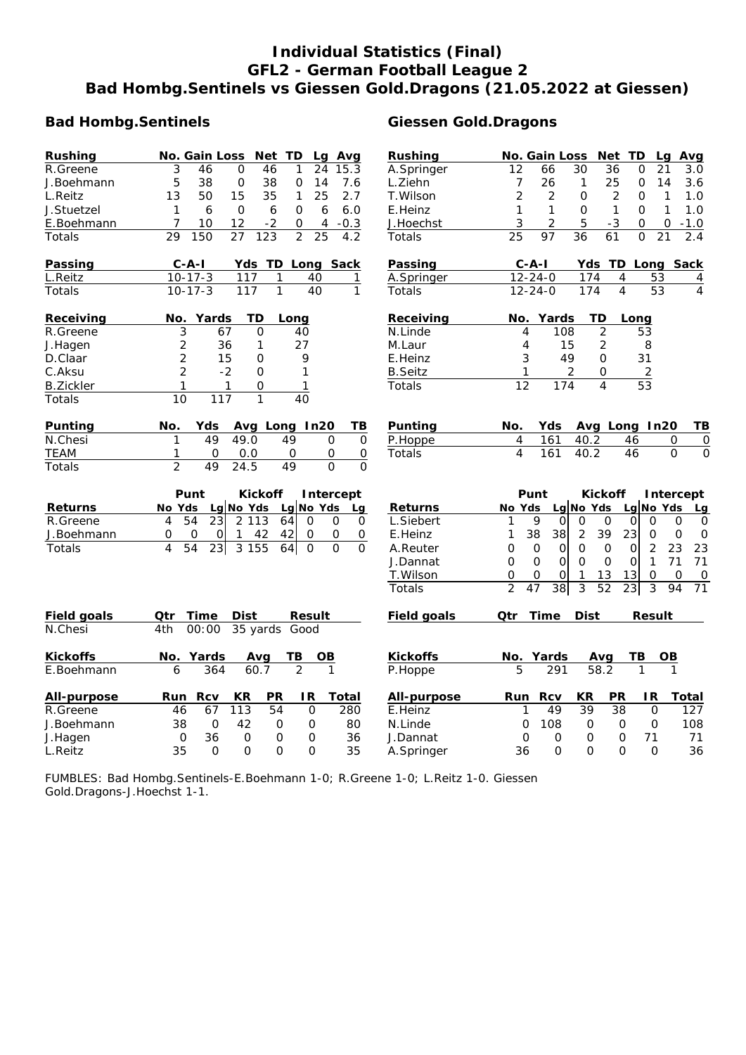# **Individual Statistics (Final) GFL2 - German Football League 2 Bad Hombg.Sentinels vs Giessen Gold.Dragons (21.05.2022 at Giessen)**

#### **Bad Hombg.Sentinels** Giessen Gold.Dragons

| <b>Rushing</b>   | No. Gain Loss Net TD<br>Lg Avg                                                | Rushing            | No. Gain Loss<br>Net TD<br>Avg<br>Lg                                                                                      |
|------------------|-------------------------------------------------------------------------------|--------------------|---------------------------------------------------------------------------------------------------------------------------|
| R.Greene         | 3<br>46<br>O<br>46<br>24<br>15.3<br>1                                         | A.Springer         | 12<br>30<br>36<br>3.0<br>O<br>21<br>66                                                                                    |
| J.Boehmann       | 5<br>38<br>0<br>38<br>0<br>7.6<br>14                                          | L.Ziehn            | $\overline{7}$<br>26<br>$\mathbf{1}$<br>25<br>0<br>14<br>3.6                                                              |
| L.Reitz          | 13<br>50<br>15<br>35<br>25<br>2.7<br>1                                        | T. Wilson          | $\overline{2}$<br>$\overline{2}$<br>$\mathbf{O}$<br>$\overline{2}$<br>$\mathbf{1}$<br>1.0<br>0                            |
| J.Stuetzel       | $\Omega$<br>$\mathbf{1}$<br>6<br>6<br>0<br>6<br>6.0                           | E.Heinz            | $\mathbf{1}$<br>$\mathbf{1}$<br>1<br>$\Omega$<br>1<br>$\Omega$<br>1.0                                                     |
| E.Boehmann       | 7<br>12<br>10<br>$-2$<br>$-0.3$<br>0<br>4                                     | J.Hoechst          | 5<br>$-3$<br>3<br>2<br>0<br>0<br>$-1.0$                                                                                   |
| Totals           | 27<br>123<br>$\overline{2}$<br>25<br>29<br>150<br>4.2                         | Totals             | 25<br>97<br>36<br>61<br>2.4<br>$\Omega$<br>21                                                                             |
| Passing          | $C - A - I$<br>Yds TD Long Sack                                               | <b>Passing</b>     | Yds TD Long Sack<br>$C - A - I$                                                                                           |
| L.Reitz          | $10 - 17 - 3$<br>117<br>1<br>40<br>1                                          | A.Springer         | $12 - 24 - 0$<br>53<br>174<br>4<br>4                                                                                      |
| Totals           | $10-17-3$<br>117<br>$\mathbf{1}$<br>$\overline{40}$<br>$\mathbf{1}$           | Totals             | $\overline{4}$<br>174<br>$\overline{53}$<br>$\overline{4}$<br>$12 - 24 - 0$                                               |
| Receiving        | TD<br>No. Yards<br>Long                                                       | Receiving          | No. Yards<br>TD<br>Long                                                                                                   |
| R.Greene         | 3<br>67<br>$\Omega$<br>40                                                     | N.Linde            | $\overline{2}$<br>4<br>108<br>53                                                                                          |
| J.Hagen          | $\overline{c}$<br>36<br>27<br>1                                               | M.Laur             | 15<br>$\overline{c}$<br>8<br>4                                                                                            |
| D.Claar          | $\overline{2}$<br>15<br>9<br>0                                                | E.Heinz            | 3<br>49<br>$\Omega$<br>31                                                                                                 |
| C.Aksu           | $\overline{2}$<br>$-2$<br>$\mathbf{O}$<br>1                                   | <b>B.Seitz</b>     | 2<br>1<br>0<br>$\overline{2}$                                                                                             |
| <b>B.Zickler</b> | 1<br>1<br>$\mathbf 1$<br>0                                                    | Totals             | 12<br>53<br>174<br>4                                                                                                      |
| Totals           | $\overline{10}$<br>$\overline{117}$<br>1<br>$\overline{40}$                   |                    |                                                                                                                           |
| Punting          | Yds<br>Avg Long In20<br>No.<br>ТВ                                             | <b>Punting</b>     | No.<br>Yds<br>Avg Long In20<br>ΤB                                                                                         |
| N.Chesi          | 49.0<br>49<br>49<br>1<br>$\mathbf 0$<br>O                                     | P.Hoppe            | 4<br>161<br>46<br>0<br>C<br>40.2                                                                                          |
| <b>TEAM</b>      | $\mathsf O$<br>O<br>0.0<br>O<br>0<br>1                                        | Totals             | 4<br>40.2<br>$\overline{46}$<br>$\overline{C}$<br>161<br>$\Omega$                                                         |
| Totals           | $\mathfrak{D}$<br>49<br>24.5<br>49<br>$\Omega$<br>0                           |                    |                                                                                                                           |
|                  | Punt<br><b>Kickoff</b><br>Intercept                                           |                    | Punt<br><b>Kickoff</b><br>Intercept                                                                                       |
| <b>Returns</b>   | Lg No Yds<br>$Lg$ No Yds<br>No Yds<br>Lg                                      | <b>Returns</b>     | Lg No Yds<br>No Yds<br>Lg No Yds<br>Lg                                                                                    |
| R.Greene         | 54<br>23<br>2 1 1 3<br>4<br>64<br>$\Omega$<br>0<br>0                          | L.Siebert          | 1<br>9<br>$\Omega$<br>0<br>0<br>0<br>0<br>O<br>0                                                                          |
| J.Boehmann       | 42<br>42<br>$\mathsf O$<br>0<br>$\Omega$<br>$\Omega$<br>0<br>0<br>1           | E.Heinz            | $\overline{2}$<br>39<br>23<br>1<br>38<br>38<br>$\mathbf 0$<br>$\mathbf 0$<br>0                                            |
| Totals           | $\overline{3}$ 155<br>4<br>54<br>23<br>$\Omega$<br>$\Omega$<br>64<br>$\Omega$ | A.Reuter           | $\Omega$<br>$\Omega$<br>$\mathsf{O}$<br>2<br>23<br>23<br>$\Omega$<br>$\Omega$<br>$\Omega$                                 |
|                  |                                                                               | J.Dannat           | $\overline{O}$<br>$\overline{0}$<br>$\mathbf{1}$<br>71<br>71<br>$\mathbf 0$<br>$\mathbf{O}$<br>$\mathbf 0$<br>$\mathbf 0$ |
|                  |                                                                               | T. Wilson          | 0<br>$\mathbf{1}$<br>13<br>13<br>$\mathbf 0$<br>$\mathbf{O}$<br>$\mathbf 0$<br>0<br>0                                     |
|                  |                                                                               | Totals             | $\overline{2}$<br>$\overline{47}$<br>38<br>3<br>$\overline{52}$<br>$\overline{23}$<br>3<br>94<br>71                       |
| Field goals      | Qtr<br>Time<br>Dist<br><b>Result</b>                                          | <b>Field goals</b> | <b>Dist</b><br>Qtr<br>Time<br>Result                                                                                      |
| N.Chesi          | 35 yards<br>4th<br>00:00<br>Good                                              |                    |                                                                                                                           |
| <b>Kickoffs</b>  | No. Yards<br>TВ<br><b>OB</b><br>Avg                                           | <b>Kickoffs</b>    | No. Yards<br>Avg<br>TB<br><u>OB</u>                                                                                       |
| E.Boehmann       | 364<br>60.7<br>$\overline{2}$<br>1<br>6                                       | P.Hoppe            | 5<br>291<br>58.2<br>1<br>1                                                                                                |
| All-purpose      | <b>Rcv</b><br>KR<br>PR<br>IR.<br>Total<br>Run                                 | All-purpose        | <b>Rcv</b><br>KR<br>PR<br>IR.<br>Total<br>Run                                                                             |
| R.Greene         | 113<br>67<br>54<br>$\Omega$<br>280<br>46                                      | E.Heinz            | 49<br>39<br>38<br>$\mathbf 0$<br>127<br>1                                                                                 |
| J.Boehmann       | 38<br>$\mathbf 0$<br>42<br>0<br>0<br>80                                       | N.Linde            | 108<br>$\mathbf{O}$<br>0<br>0<br>$\mathbf 0$<br>108                                                                       |
| J.Hagen          | 0<br>36<br>0<br>0<br>36<br>0                                                  | J.Dannat           | 71<br>71<br>0<br>O<br>0<br>$\Omega$                                                                                       |
| L.Reitz          | 35<br>$\Omega$<br>$\Omega$<br>$\Omega$<br>$\Omega$<br>35                      | A.Springer         | 36<br>36<br>$\Omega$<br>$\Omega$<br>$\Omega$<br>$\Omega$                                                                  |

FUMBLES: Bad Hombg.Sentinels-E.Boehmann 1-0; R.Greene 1-0; L.Reitz 1-0. Giessen Gold.Dragons-J.Hoechst 1-1.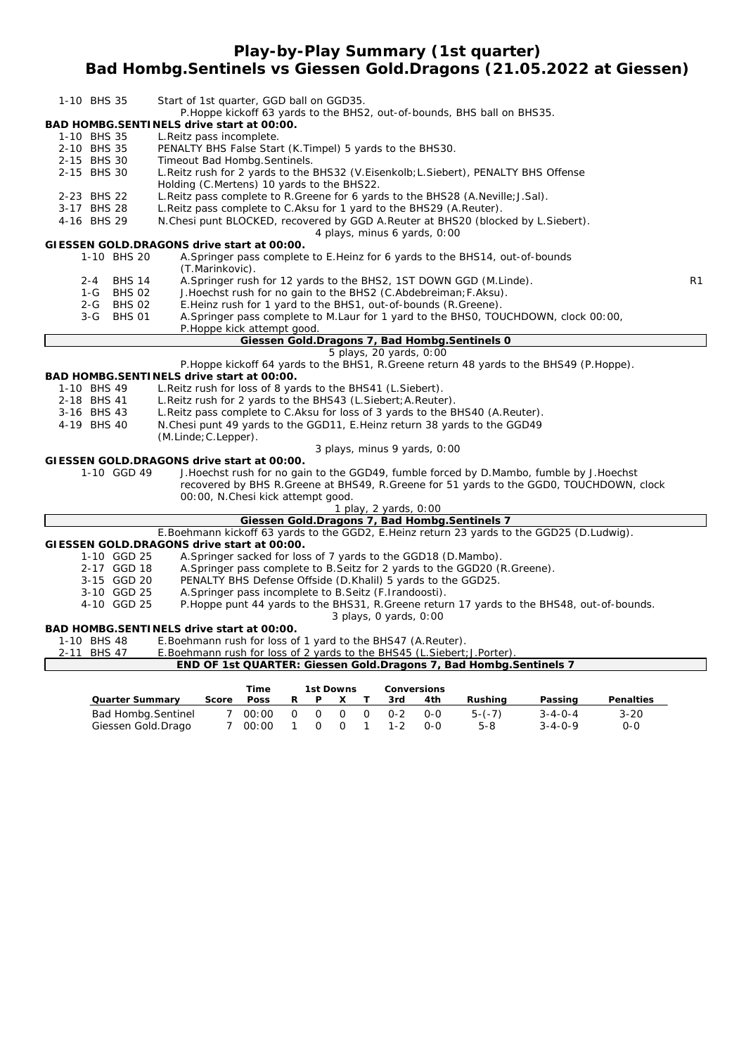**Play-by-Play Summary (1st quarter)**

#### **Bad Hombg.Sentinels vs Giessen Gold.Dragons (21.05.2022 at Giessen)**

| 1-10 BHS 35 |         |                            |                           |                      | Start of 1st quarter, GGD ball on GGD35.                        |              |             |           |              |                         |                              |                                                                                                                                                |                                                                                             |                                                                                           |    |
|-------------|---------|----------------------------|---------------------------|----------------------|-----------------------------------------------------------------|--------------|-------------|-----------|--------------|-------------------------|------------------------------|------------------------------------------------------------------------------------------------------------------------------------------------|---------------------------------------------------------------------------------------------|-------------------------------------------------------------------------------------------|----|
|             |         |                            |                           |                      |                                                                 |              |             |           |              |                         |                              | P. Hoppe kickoff 63 yards to the BHS2, out-of-bounds, BHS ball on BHS35.                                                                       |                                                                                             |                                                                                           |    |
|             |         |                            |                           |                      | BAD HOMBG.SENTINELS drive start at 00:00.                       |              |             |           |              |                         |                              |                                                                                                                                                |                                                                                             |                                                                                           |    |
| 1-10 BHS 35 |         |                            | L. Reitz pass incomplete. |                      |                                                                 |              |             |           |              |                         |                              |                                                                                                                                                |                                                                                             |                                                                                           |    |
| 2-10 BHS 35 |         |                            |                           |                      | PENALTY BHS False Start (K. Timpel) 5 yards to the BHS30.       |              |             |           |              |                         |                              |                                                                                                                                                |                                                                                             |                                                                                           |    |
| 2-15 BHS 30 |         |                            |                           |                      | Timeout Bad Hombg. Sentinels.                                   |              |             |           |              |                         |                              |                                                                                                                                                |                                                                                             |                                                                                           |    |
| 2-15 BHS 30 |         |                            |                           |                      |                                                                 |              |             |           |              |                         |                              | L.Reitz rush for 2 yards to the BHS32 (V.Eisenkolb; L.Siebert), PENALTY BHS Offense                                                            |                                                                                             |                                                                                           |    |
|             |         |                            |                           |                      | Holding (C.Mertens) 10 yards to the BHS22.                      |              |             |           |              |                         |                              |                                                                                                                                                |                                                                                             |                                                                                           |    |
| 2-23 BHS 22 |         |                            |                           |                      |                                                                 |              |             |           |              |                         |                              | L. Reitz pass complete to R. Greene for 6 yards to the BHS28 (A. Neville; J. Sal).                                                             |                                                                                             |                                                                                           |    |
| 3-17 BHS 28 |         |                            |                           |                      |                                                                 |              |             |           |              |                         |                              | L.Reitz pass complete to C.Aksu for 1 yard to the BHS29 (A.Reuter).                                                                            |                                                                                             |                                                                                           |    |
| 4-16 BHS 29 |         |                            |                           |                      |                                                                 |              |             |           |              |                         |                              | N.Chesi punt BLOCKED, recovered by GGD A.Reuter at BHS20 (blocked by L.Siebert).                                                               |                                                                                             |                                                                                           |    |
|             |         |                            |                           |                      |                                                                 |              |             |           |              |                         | 4 plays, minus 6 yards, 0:00 |                                                                                                                                                |                                                                                             |                                                                                           |    |
|             |         | 1-10 BHS 20                |                           |                      | GIESSEN GOLD.DRAGONS drive start at 00:00.                      |              |             |           |              |                         |                              |                                                                                                                                                |                                                                                             |                                                                                           |    |
|             |         |                            |                           | (T.Marinkovic).      |                                                                 |              |             |           |              |                         |                              | A. Springer pass complete to E. Heinz for 6 yards to the BHS14, out-of-bounds                                                                  |                                                                                             |                                                                                           |    |
|             | $2 - 4$ | <b>BHS 14</b>              |                           |                      |                                                                 |              |             |           |              |                         |                              | A. Springer rush for 12 yards to the BHS2, 1ST DOWN GGD (M. Linde).                                                                            |                                                                                             |                                                                                           | R1 |
|             | $1 - G$ | <b>BHS 02</b>              |                           |                      |                                                                 |              |             |           |              |                         |                              | J. Hoechst rush for no gain to the BHS2 (C. Abdebreiman; F. Aksu).                                                                             |                                                                                             |                                                                                           |    |
|             | $2 - G$ | <b>BHS 02</b>              |                           |                      |                                                                 |              |             |           |              |                         |                              | E.Heinz rush for 1 yard to the BHS1, out-of-bounds (R.Greene).                                                                                 |                                                                                             |                                                                                           |    |
|             | $3-G$   | <b>BHS 01</b>              |                           |                      |                                                                 |              |             |           |              |                         |                              |                                                                                                                                                | A. Springer pass complete to M. Laur for 1 yard to the BHSO, TOUCHDOWN, clock 00:00,        |                                                                                           |    |
|             |         |                            |                           |                      | P. Hoppe kick attempt good.                                     |              |             |           |              |                         |                              |                                                                                                                                                |                                                                                             |                                                                                           |    |
|             |         |                            |                           |                      |                                                                 |              |             |           |              |                         |                              | Giessen Gold.Dragons 7, Bad Hombg.Sentinels 0                                                                                                  |                                                                                             |                                                                                           |    |
|             |         |                            |                           |                      |                                                                 |              |             |           |              | 5 plays, 20 yards, 0:00 |                              |                                                                                                                                                |                                                                                             |                                                                                           |    |
|             |         |                            |                           |                      |                                                                 |              |             |           |              |                         |                              |                                                                                                                                                | P. Hoppe kickoff 64 yards to the BHS1, R. Greene return 48 yards to the BHS49 (P. Hoppe).   |                                                                                           |    |
|             |         |                            |                           |                      | BAD HOMBG.SENTINELS drive start at 00:00.                       |              |             |           |              |                         |                              |                                                                                                                                                |                                                                                             |                                                                                           |    |
| 1-10 BHS 49 |         |                            |                           |                      | L. Reitz rush for loss of 8 yards to the BHS41 (L. Siebert).    |              |             |           |              |                         |                              |                                                                                                                                                |                                                                                             |                                                                                           |    |
| 2-18 BHS 41 |         |                            |                           |                      | L. Reitz rush for 2 yards to the BHS43 (L. Siebert; A. Reuter). |              |             |           |              |                         |                              |                                                                                                                                                |                                                                                             |                                                                                           |    |
| 3-16 BHS 43 |         |                            |                           |                      |                                                                 |              |             |           |              |                         |                              | L. Reitz pass complete to C. Aksu for loss of 3 yards to the BHS40 (A. Reuter).                                                                |                                                                                             |                                                                                           |    |
| 4-19 BHS 40 |         |                            |                           |                      |                                                                 |              |             |           |              |                         |                              | N. Chesi punt 49 yards to the GGD11, E. Heinz return 38 yards to the GGD49                                                                     |                                                                                             |                                                                                           |    |
|             |         |                            |                           | (M.Linde; C.Lepper). |                                                                 |              |             |           |              |                         |                              |                                                                                                                                                |                                                                                             |                                                                                           |    |
|             |         |                            |                           |                      |                                                                 |              |             |           |              |                         | 3 plays, minus 9 yards, 0:00 |                                                                                                                                                |                                                                                             |                                                                                           |    |
|             |         |                            |                           |                      | GIESSEN GOLD.DRAGONS drive start at 00:00.                      |              |             |           |              |                         |                              |                                                                                                                                                |                                                                                             |                                                                                           |    |
|             |         | 1-10 GGD 49                |                           |                      |                                                                 |              |             |           |              |                         |                              |                                                                                                                                                | J. Hoechst rush for no gain to the GGD49, fumble forced by D. Mambo, fumble by J. Hoechst   |                                                                                           |    |
|             |         |                            |                           |                      |                                                                 |              |             |           |              |                         |                              |                                                                                                                                                |                                                                                             | recovered by BHS R. Greene at BHS49, R. Greene for 51 yards to the GGD0, TOUCHDOWN, clock |    |
|             |         |                            |                           |                      | 00:00, N.Chesi kick attempt good.                               |              |             |           |              |                         |                              |                                                                                                                                                |                                                                                             |                                                                                           |    |
|             |         |                            |                           |                      |                                                                 |              |             |           |              | 1 play, 2 yards, 0:00   |                              |                                                                                                                                                |                                                                                             |                                                                                           |    |
|             |         |                            |                           |                      |                                                                 |              |             |           |              |                         |                              | Giessen Gold.Dragons 7, Bad Hombg.Sentinels 7                                                                                                  |                                                                                             |                                                                                           |    |
|             |         |                            |                           |                      |                                                                 |              |             |           |              |                         |                              |                                                                                                                                                | E.Boehmann kickoff 63 yards to the GGD2, E.Heinz return 23 yards to the GGD25 (D.Ludwig).   |                                                                                           |    |
|             |         |                            |                           |                      | GIESSEN GOLD.DRAGONS drive start at 00:00.                      |              |             |           |              |                         |                              |                                                                                                                                                |                                                                                             |                                                                                           |    |
|             |         | 1-10 GGD 25<br>2-17 GGD 18 |                           |                      |                                                                 |              |             |           |              |                         |                              | A. Springer sacked for loss of 7 yards to the GGD18 (D. Mambo).<br>A. Springer pass complete to B. Seitz for 2 yards to the GGD20 (R. Greene). |                                                                                             |                                                                                           |    |
|             |         | 3-15 GGD 20                |                           |                      |                                                                 |              |             |           |              |                         |                              | PENALTY BHS Defense Offside (D.Khalil) 5 yards to the GGD25.                                                                                   |                                                                                             |                                                                                           |    |
|             |         | 3-10 GGD 25                |                           |                      | A. Springer pass incomplete to B. Seitz (F. Irandoosti).        |              |             |           |              |                         |                              |                                                                                                                                                |                                                                                             |                                                                                           |    |
|             |         | 4-10 GGD 25                |                           |                      |                                                                 |              |             |           |              |                         |                              |                                                                                                                                                | P. Hoppe punt 44 yards to the BHS31, R. Greene return 17 yards to the BHS48, out-of-bounds. |                                                                                           |    |
|             |         |                            |                           |                      |                                                                 |              |             |           |              | 3 plays, 0 yards, 0:00  |                              |                                                                                                                                                |                                                                                             |                                                                                           |    |
|             |         |                            |                           |                      | BAD HOMBG.SENTINELS drive start at 00:00.                       |              |             |           |              |                         |                              |                                                                                                                                                |                                                                                             |                                                                                           |    |
| 1-10 BHS 48 |         |                            |                           |                      | E. Boehmann rush for loss of 1 yard to the BHS47 (A. Reuter).   |              |             |           |              |                         |                              |                                                                                                                                                |                                                                                             |                                                                                           |    |
| 2-11 BHS 47 |         |                            |                           |                      |                                                                 |              |             |           |              |                         |                              | E.Boehmann rush for loss of 2 yards to the BHS45 (L.Siebert; J.Porter).                                                                        |                                                                                             |                                                                                           |    |
|             |         |                            |                           |                      |                                                                 |              |             |           |              |                         |                              | END OF 1st QUARTER: Giessen Gold.Dragons 7, Bad Hombg.Sentinels 7                                                                              |                                                                                             |                                                                                           |    |
|             |         |                            |                           |                      |                                                                 |              |             |           |              |                         |                              |                                                                                                                                                |                                                                                             |                                                                                           |    |
|             |         |                            |                           |                      | <b>Time</b>                                                     |              |             | 1st Downs |              | Conversions             |                              |                                                                                                                                                |                                                                                             |                                                                                           |    |
|             |         | <b>Quarter Summary</b>     |                           | Score                | Poss                                                            | R            | P           | x         | T.           | 3rd                     | 4th                          | Rushing                                                                                                                                        | Passing                                                                                     | <b>Penalties</b>                                                                          |    |
|             |         | <b>Bad Hombg.Sentinel</b>  |                           | $7^{\circ}$          | 00:00                                                           | $\mathbf{O}$ | $\mathbf 0$ | O         | $\mathbf{O}$ | $0 - 2$                 | $0 - 0$                      | $5-(-7)$                                                                                                                                       | $3 - 4 - 0 - 4$                                                                             | 3-20                                                                                      |    |

Giessen Gold.Drago 7 00:00 1 0 0 1 1-2 0-0 5-8 3-4-0-9 0-0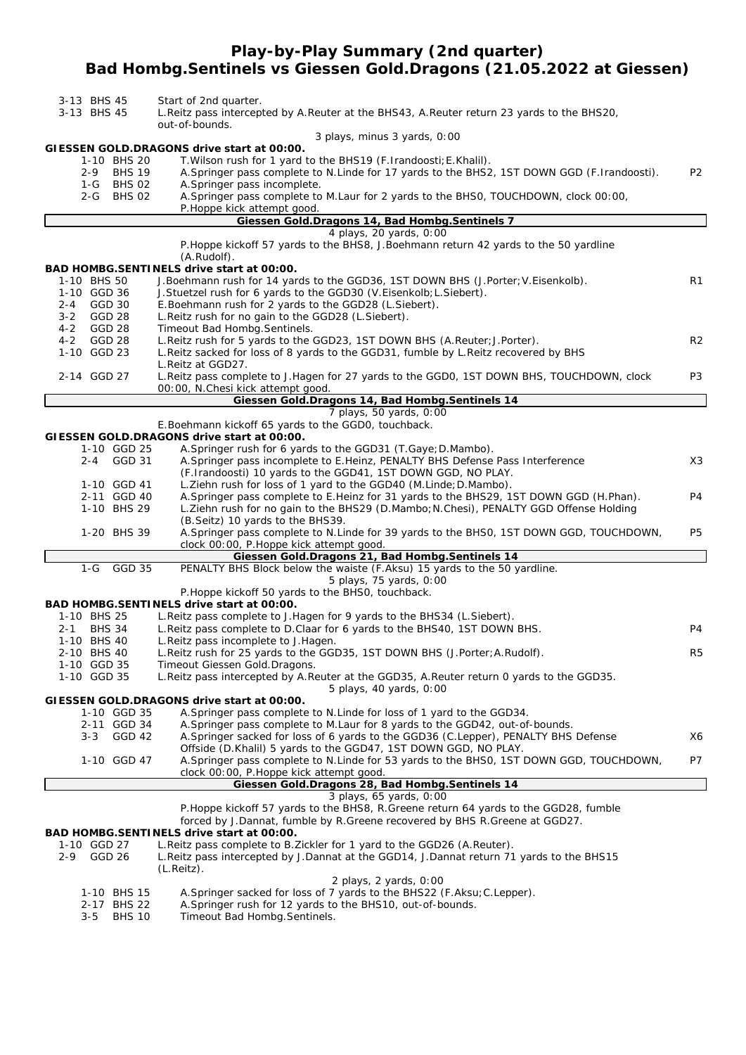### **Play-by-Play Summary (2nd quarter) Bad Hombg.Sentinels vs Giessen Gold.Dragons (21.05.2022 at Giessen)**

| 3-13 BHS 45<br>3-13 BHS 45                        | Start of 2nd quarter.<br>L. Reitz pass intercepted by A. Reuter at the BHS43, A. Reuter return 23 yards to the BHS20,<br>out-of-bounds.                                                                                                          |                |
|---------------------------------------------------|--------------------------------------------------------------------------------------------------------------------------------------------------------------------------------------------------------------------------------------------------|----------------|
|                                                   | 3 plays, minus 3 yards, 0:00                                                                                                                                                                                                                     |                |
| 1-10 BHS 20<br><b>BHS 19</b><br>2-9<br>1-G BHS 02 | GIESSEN GOLD.DRAGONS drive start at 00:00.<br>T. Wilson rush for 1 yard to the BHS19 (F. Irandoosti; E. Khalil).<br>A. Springer pass complete to N. Linde for 17 yards to the BHS2, 1ST DOWN GGD (F. Irandoosti).<br>A.Springer pass incomplete. | P <sub>2</sub> |
| 2-G BHS 02                                        | A. Springer pass complete to M. Laur for 2 yards to the BHS0, TOUCHDOWN, clock 00:00,<br>P.Hoppe kick attempt good.                                                                                                                              |                |
|                                                   | Giessen Gold. Dragons 14, Bad Hombg. Sentinels 7                                                                                                                                                                                                 |                |
|                                                   | 4 plays, 20 yards, 0:00<br>P. Hoppe kickoff 57 yards to the BHS8, J. Boehmann return 42 yards to the 50 yardline<br>(A.Rudolf).                                                                                                                  |                |
|                                                   | BAD HOMBG.SENTINELS drive start at 00:00.                                                                                                                                                                                                        |                |
| 1-10 BHS 50                                       | J.Boehmann rush for 14 yards to the GGD36, 1ST DOWN BHS (J.Porter; V.Eisenkolb).                                                                                                                                                                 | R1             |
| 1-10 GGD 36<br>GGD 30<br>2-4                      | J. Stuetzel rush for 6 yards to the GGD30 (V. Eisenkolb; L. Siebert).<br>E.Boehmann rush for 2 yards to the GGD28 (L.Siebert).                                                                                                                   |                |
| GGD 28<br>3-2                                     | L. Reitz rush for no gain to the GGD28 (L. Siebert).                                                                                                                                                                                             |                |
| GGD 28<br>4-2                                     | Timeout Bad Hombg. Sentinels.                                                                                                                                                                                                                    |                |
| $4 - 2$<br>GGD 28                                 | L. Reitz rush for 5 yards to the GGD23, 1ST DOWN BHS (A. Reuter; J. Porter).                                                                                                                                                                     | R <sub>2</sub> |
| 1-10 GGD 23                                       | L. Reitz sacked for loss of 8 yards to the GGD31, fumble by L. Reitz recovered by BHS<br>L. Reitz at GGD27.                                                                                                                                      |                |
| 2-14 GGD 27                                       | L.Reitz pass complete to J.Hagen for 27 yards to the GGD0, 1ST DOWN BHS, TOUCHDOWN, clock                                                                                                                                                        | P3             |
|                                                   | 00:00, N.Chesi kick attempt good.                                                                                                                                                                                                                |                |
|                                                   | Giessen Gold.Dragons 14, Bad Hombg.Sentinels 14                                                                                                                                                                                                  |                |
|                                                   | 7 plays, 50 yards, 0:00                                                                                                                                                                                                                          |                |
|                                                   | E.Boehmann kickoff 65 yards to the GGD0, touchback.<br>GIESSEN GOLD.DRAGONS drive start at 00:00.                                                                                                                                                |                |
| 1-10 GGD 25                                       | A. Springer rush for 6 yards to the GGD31 (T. Gaye; D. Mambo).                                                                                                                                                                                   |                |
| 2-4 GGD 31                                        | A. Springer pass incomplete to E. Heinz, PENALTY BHS Defense Pass Interference                                                                                                                                                                   | X3             |
|                                                   | (F.Irandoosti) 10 yards to the GGD41, 1ST DOWN GGD, NO PLAY.                                                                                                                                                                                     |                |
| 1-10 GGD 41                                       | L. Ziehn rush for loss of 1 yard to the GGD40 (M. Linde; D. Mambo).                                                                                                                                                                              |                |
| 2-11 GGD 40<br>1-10 BHS 29                        | A. Springer pass complete to E. Heinz for 31 yards to the BHS29, 1ST DOWN GGD (H. Phan).<br>L.Ziehn rush for no gain to the BHS29 (D.Mambo; N.Chesi), PENALTY GGD Offense Holding                                                                | P4             |
|                                                   | (B.Seitz) 10 yards to the BHS39.                                                                                                                                                                                                                 |                |
| 1-20 BHS 39                                       | A. Springer pass complete to N. Linde for 39 yards to the BHS0, 1ST DOWN GGD, TOUCHDOWN,<br>clock 00:00, P. Hoppe kick attempt good.                                                                                                             | P5             |
|                                                   | Giessen Gold.Dragons 21, Bad Hombg.Sentinels 14                                                                                                                                                                                                  |                |
| $1-G$<br>GGD 35                                   | PENALTY BHS Block below the waiste (F.Aksu) 15 yards to the 50 yardline.                                                                                                                                                                         |                |
|                                                   | 5 plays, 75 yards, 0:00                                                                                                                                                                                                                          |                |
|                                                   | P. Hoppe kickoff 50 yards to the BHS0, touchback.<br>BAD HOMBG.SENTINELS drive start at 00:00.                                                                                                                                                   |                |
| 1-10 BHS 25                                       | L. Reitz pass complete to J. Hagen for 9 yards to the BHS34 (L. Siebert).                                                                                                                                                                        |                |
| <b>BHS 34</b><br>2-1                              | L. Reitz pass complete to D. Claar for 6 yards to the BHS40, 1ST DOWN BHS.                                                                                                                                                                       | P4             |
| 1-10 BHS 40                                       | L. Reitz pass incomplete to J. Hagen.                                                                                                                                                                                                            |                |
| 2-10 BHS 40                                       | L.Reitz rush for 25 yards to the GGD35, 1ST DOWN BHS (J.Porter; A.Rudolf).<br>Timeout Giessen Gold.Dragons.                                                                                                                                      | R5             |
| 1-10 GGD 35<br>1-10 GGD 35                        | L. Reitz pass intercepted by A. Reuter at the GGD35, A. Reuter return 0 yards to the GGD35.                                                                                                                                                      |                |
|                                                   | 5 plays, 40 yards, 0:00                                                                                                                                                                                                                          |                |
|                                                   | GIESSEN GOLD.DRAGONS drive start at 00:00.                                                                                                                                                                                                       |                |
| 1-10 GGD 35                                       | A. Springer pass complete to N. Linde for loss of 1 yard to the GGD34.                                                                                                                                                                           |                |
| 2-11 GGD 34<br>3-3 GGD 42                         | A. Springer pass complete to M. Laur for 8 yards to the GGD42, out-of-bounds.<br>A. Springer sacked for loss of 6 yards to the GGD36 (C. Lepper), PENALTY BHS Defense                                                                            | X6             |
|                                                   | Offside (D.Khalil) 5 yards to the GGD47, 1ST DOWN GGD, NO PLAY.                                                                                                                                                                                  |                |
| 1-10 GGD 47                                       | A. Springer pass complete to N. Linde for 53 yards to the BHS0, 1ST DOWN GGD, TOUCHDOWN,                                                                                                                                                         | P7             |
|                                                   | clock 00:00, P. Hoppe kick attempt good.                                                                                                                                                                                                         |                |
|                                                   | Giessen Gold.Dragons 28, Bad Hombg.Sentinels 14<br>3 plays, 65 yards, 0:00                                                                                                                                                                       |                |
|                                                   | P. Hoppe kickoff 57 yards to the BHS8, R. Greene return 64 yards to the GGD28, fumble                                                                                                                                                            |                |
|                                                   | forced by J.Dannat, fumble by R.Greene recovered by BHS R.Greene at GGD27.<br>BAD HOMBG.SENTINELS drive start at 00:00.                                                                                                                          |                |
| 1-10 GGD 27                                       | L. Reitz pass complete to B. Zickler for 1 yard to the GGD26 (A. Reuter).                                                                                                                                                                        |                |
| 2-9 GGD 26                                        | L. Reitz pass intercepted by J. Dannat at the GGD14, J. Dannat return 71 yards to the BHS15<br>(L. Reitz).                                                                                                                                       |                |
|                                                   | 2 plays, 2 yards, 0:00                                                                                                                                                                                                                           |                |
| 1-10 BHS 15<br>2-17 BHS 22                        | A. Springer sacked for loss of 7 yards to the BHS22 (F. Aksu; C. Lepper).<br>A.Springer rush for 12 yards to the BHS10, out-of-bounds.                                                                                                           |                |
| $3 - 5$<br>BHS 10                                 | Timeout Bad Hombg. Sentinels.                                                                                                                                                                                                                    |                |
|                                                   |                                                                                                                                                                                                                                                  |                |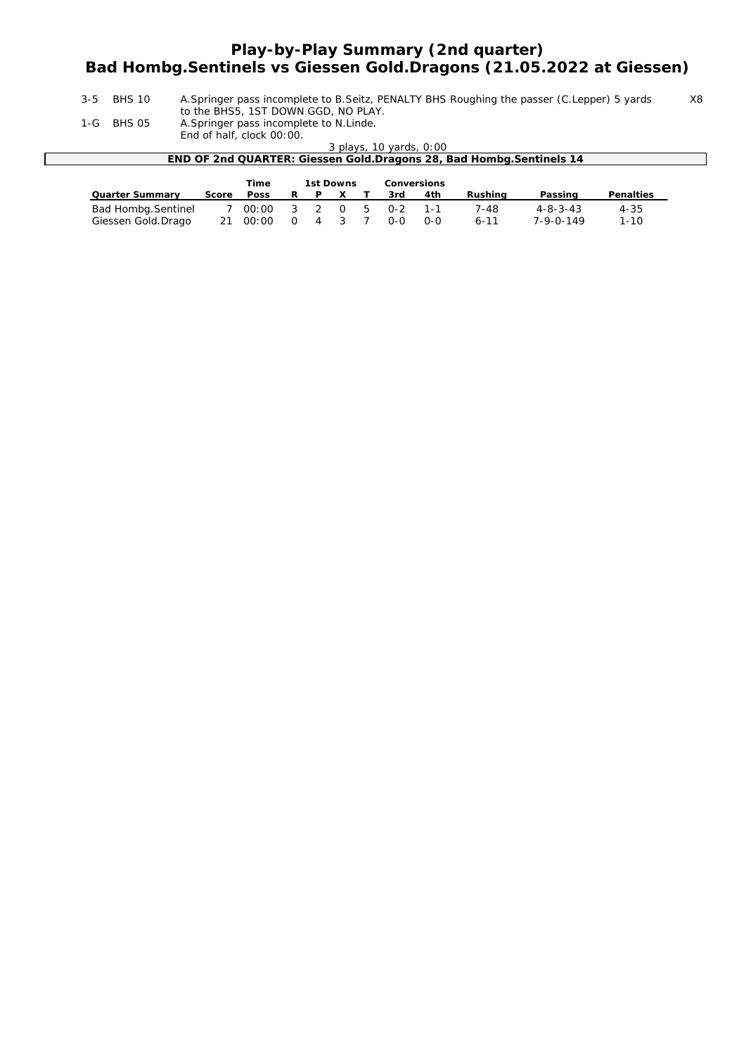## **Play-by-Play Summary (2nd quarter) Bad Hombg.Sentinels vs Giessen Gold.Dragons (21.05.2022 at Giessen)**

3-5 BHS 10 A.Springer pass incomplete to B.Seitz, PENALTY BHS Roughing the passer (C.Lepper) 5 yards X8 to the BHS5, 1ST DOWN GGD, NO PLAY.

1-G BHS 05 A.Springer pass incomplete to N.Linde.

End of half, clock 00:00.

*3 plays, 10 yards, 0:00*

| .<br>END OF 2nd QUARTER: Giessen Gold. Dragons 28, Bad Hombg. Sentinels 14 |
|----------------------------------------------------------------------------|
|                                                                            |
|                                                                            |

|                        |       | Time               | 1st Downs |              |  | <b>Conversions</b> |     |          |                  |                  |
|------------------------|-------|--------------------|-----------|--------------|--|--------------------|-----|----------|------------------|------------------|
| <b>Quarter Summary</b> | Score | <b>Poss</b>        | R P       | $\mathbf{x}$ |  | 3rd                | 4th | Rushina  | Passing          | <b>Penalties</b> |
| Bad Hombg. Sentinel    |       | '00:00 3 2 0 5 0-2 |           |              |  |                    | 1-1 | 7-48     | $4 - 8 - 3 - 43$ | 4-35             |
| Giessen Gold.Drago     |       | 21 00:00 0 4 3 7   |           |              |  | $O-O$              | റ-റ | $6 - 11$ | 7-9-0-149        | $1 - 10$         |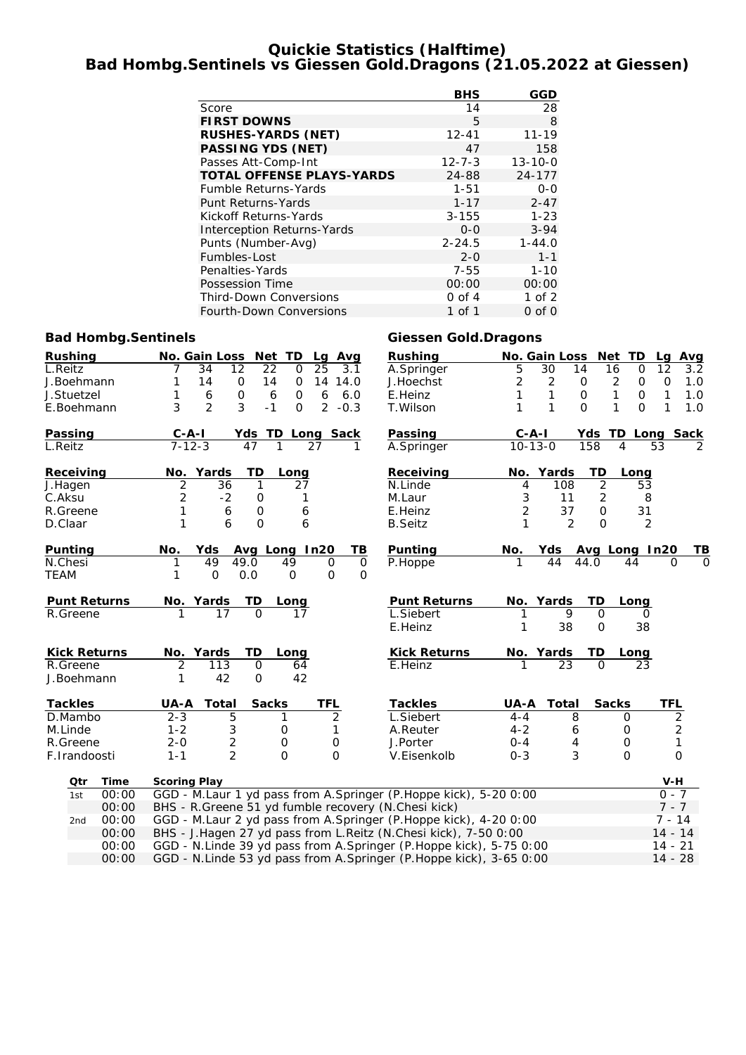#### **Quickie Statistics (Halftime) Bad Hombg.Sentinels vs Giessen Gold.Dragons (21.05.2022 at Giessen)**

|                                   | <b>BHS</b>   | GGD           |
|-----------------------------------|--------------|---------------|
| Score                             | 14           | 28            |
| <b>FIRST DOWNS</b>                | 5            | 8             |
| <b>RUSHES-YARDS (NET)</b>         | $12 - 41$    | $11 - 19$     |
| <b>PASSING YDS (NET)</b>          | 47           | 158           |
| Passes Att-Comp-Int               | $12 - 7 - 3$ | $13 - 10 - 0$ |
| <b>TOTAL OFFENSE PLAYS-YARDS</b>  | 24-88        | 24-177        |
| <b>Fumble Returns-Yards</b>       | $1 - 51$     | $0 - 0$       |
| Punt Returns-Yards                | $1 - 17$     | $2 - 47$      |
| Kickoff Returns-Yards             | $3 - 155$    | $1 - 23$      |
| <b>Interception Returns-Yards</b> | $0 - 0$      | $3 - 94$      |
| Punts (Number-Avg)                | $2 - 24.5$   | $1 - 44.0$    |
| Fumbles-Lost                      | $2 - 0$      | $1 - 1$       |
| Penalties-Yards                   | $7 - 55$     | $1 - 10$      |
| Possession Time                   | 00:00        | 00:00         |
| <b>Third-Down Conversions</b>     | $0$ of $4$   | $1$ of $2$    |
| Fourth-Down Conversions           | 1 of 1       | $0$ of $0$    |

#### **Bad Hombg.Sentinels** Giessen Gold.Dragons

| <b>Rushing</b>      |       |                                                                    | No. Gain Loss Net TD |                |                   | Lg Avg         |              | <b>Rushing</b>                                                     |                | No. Gain Loss Net TD |                |                  | Lg             | <b>Avg</b> |
|---------------------|-------|--------------------------------------------------------------------|----------------------|----------------|-------------------|----------------|--------------|--------------------------------------------------------------------|----------------|----------------------|----------------|------------------|----------------|------------|
| L.Reitz             |       |                                                                    | 34<br>12             |                | 22<br>$\mathbf 0$ | 25             | 3.1          | A.Springer                                                         | 5              | 30                   | 14             | 16<br>0          | 12             | 3.2        |
| J.Boehmann          |       | 1                                                                  | 14                   | O              | 14<br>$\mathbf 0$ | 14             | 14.0         | J.Hoechst                                                          | $\overline{c}$ | 2                    | $\mathbf 0$    | 2<br>0           | O              | 1.0        |
| J.Stuetzel          |       | 1                                                                  | 6                    | 0              | 6<br>0            | 6              | 6.0          | E.Heinz                                                            | 1              | 1                    | $\mathsf{O}$   | 1<br>$\mathbf 0$ | 1              | 1.0        |
| E.Boehmann          |       | 3                                                                  | $\overline{2}$       | 3              | $-1$<br>$\Omega$  | $\overline{2}$ | $-0.3$       | T.Wilson                                                           | 1              | 1                    | $\Omega$       | $\Omega$<br>1    | 1              | 1.0        |
| Passing             |       | $C - A - I$                                                        |                      |                | Yds TD Long Sack  |                |              | Passing                                                            | $C - A - I$    |                      | Yds            | TD Long Sack     |                |            |
| L.Reitz             |       | $7 - 12 - 3$                                                       |                      | 47             | 1                 | 27             | 1            | A.Springer                                                         | $10 - 13 - 0$  |                      | 158            | 4                | 53             | 2          |
| Receiving           |       |                                                                    | No. Yards            | TD             | Long              |                |              | Receiving                                                          |                | No. Yards            | TD             | Long             |                |            |
| J.Hagen             |       | $\overline{2}$                                                     | 36                   | 1              | 27                |                |              | N.Linde                                                            | 4              | 108                  | $\overline{2}$ | 53               |                |            |
| C.Aksu              |       | $\overline{c}$                                                     | $-2$                 | 0              | 1                 |                |              | M.Laur                                                             | 3              | 11                   | 2              | 8                |                |            |
| R.Greene            |       | 1                                                                  | 6                    | $\mathbf 0$    | 6                 |                |              | E.Heinz                                                            | $\overline{2}$ | 37                   | $\mathbf 0$    | 31               |                |            |
| D.Claar             |       | 1                                                                  | 6                    | $\mathbf 0$    | 6                 |                |              | <b>B.Seitz</b>                                                     | 1              | $\overline{2}$       | $\Omega$       | 2                |                |            |
| Punting             |       | No.                                                                | Yds                  |                | Avg Long In20     |                | TВ           | Punting                                                            | No.            | Yds                  |                | Avg Long In20    |                | TВ         |
| N.Chesi             |       |                                                                    | 49                   | 49.0           | 49                | 0              | $\mathbf 0$  | P.Hoppe                                                            |                | 44                   | 44.0           | 44               | 0              | O          |
| <b>TEAM</b>         |       | 1                                                                  | $\Omega$             | 0.0            | $\mathbf 0$       | $\mathbf 0$    | $\mathbf{O}$ |                                                                    |                |                      |                |                  |                |            |
| <b>Punt Returns</b> |       |                                                                    | No. Yards            | TD             | Long              |                |              | <b>Punt Returns</b>                                                |                | No. Yards            | TD             | Long             |                |            |
| R.Greene            |       |                                                                    | 17                   | $\overline{O}$ | 17                |                |              | L.Siebert                                                          | 1              | 9                    | $\mathbf 0$    | 0                |                |            |
|                     |       |                                                                    |                      |                |                   |                |              | E.Heinz                                                            |                | 38                   | $\mathbf 0$    | 38               |                |            |
| <b>Kick Returns</b> |       |                                                                    | No. Yards            | TD             | Long              |                |              | <b>Kick Returns</b>                                                |                | No. Yards            | TD             | Long             |                |            |
| R.Greene            |       | $\overline{2}$                                                     | $\overline{113}$     | $\mathsf{O}$   | 64                |                |              | E.Heinz                                                            |                | 23                   | $\Omega$       | 23               |                |            |
| J.Boehmann          |       | 1                                                                  | 42                   | 0              | 42                |                |              |                                                                    |                |                      |                |                  |                |            |
| <b>Tackles</b>      |       | UA-A                                                               | <b>Total</b>         | <b>Sacks</b>   |                   | TFL            |              | <b>Tackles</b>                                                     | <b>UA-A</b>    | Total                |                | <b>Sacks</b>     | TFL            |            |
| D.Mambo             |       | $2 - 3$                                                            | 5                    |                | 1                 | $\overline{2}$ |              | L.Siebert                                                          | $4 - 4$        |                      | 8              | $\mathbf 0$      | $\overline{2}$ |            |
| M.Linde             |       | $1 - 2$                                                            | 3                    |                | $\mathbf 0$       | 1              |              | A.Reuter                                                           | $4 - 2$        |                      | 6              | $\mathbf 0$      | $\overline{c}$ |            |
| R.Greene            |       | $2 - 0$                                                            | $\overline{c}$       |                | $\mathbf 0$       | $\mathbf 0$    |              | J.Porter                                                           | $0 - 4$        |                      | $\overline{4}$ | $\mathbf 0$      | $\mathbf{1}$   |            |
| F.Irandoosti        |       | $1 - 1$                                                            | $\overline{2}$       |                | $\Omega$          | $\Omega$       |              | V.Eisenkolb                                                        | $0 - 3$        |                      | 3              | $\Omega$         | $\Omega$       |            |
| Otr                 | Time  | <b>Scoring Play</b>                                                |                      |                |                   |                |              |                                                                    |                |                      |                |                  | $V-H$          |            |
| 1st                 | 00:00 |                                                                    |                      |                |                   |                |              | GGD - M.Laur 1 yd pass from A.Springer (P.Hoppe kick), 5-20 0:00   |                |                      |                |                  | $0 - 7$        |            |
|                     | 00:00 |                                                                    |                      |                |                   |                |              | BHS - R.Greene 51 yd fumble recovery (N.Chesi kick)                |                |                      |                |                  | $7 - 7$        |            |
| 2nd                 | 00:00 |                                                                    |                      |                |                   |                |              | GGD - M.Laur 2 yd pass from A.Springer (P.Hoppe kick), 4-20 0:00   |                |                      |                |                  | $7 - 14$       |            |
|                     | 00:00 |                                                                    |                      |                |                   |                |              | BHS - J.Hagen 27 yd pass from L.Reitz (N.Chesi kick), 7-50 0:00    |                |                      |                |                  | $14 - 14$      |            |
|                     | 00:00 |                                                                    |                      |                |                   |                |              | GGD - N.Linde 39 yd pass from A.Springer (P.Hoppe kick), 5-75 0:00 |                |                      |                |                  | $14 - 21$      |            |
|                     | 00:00 | GGD - N.Linde 53 yd pass from A.Springer (P.Hoppe kick), 3-65 0:00 |                      |                |                   |                |              |                                                                    |                |                      |                | $14 - 28$        |                |            |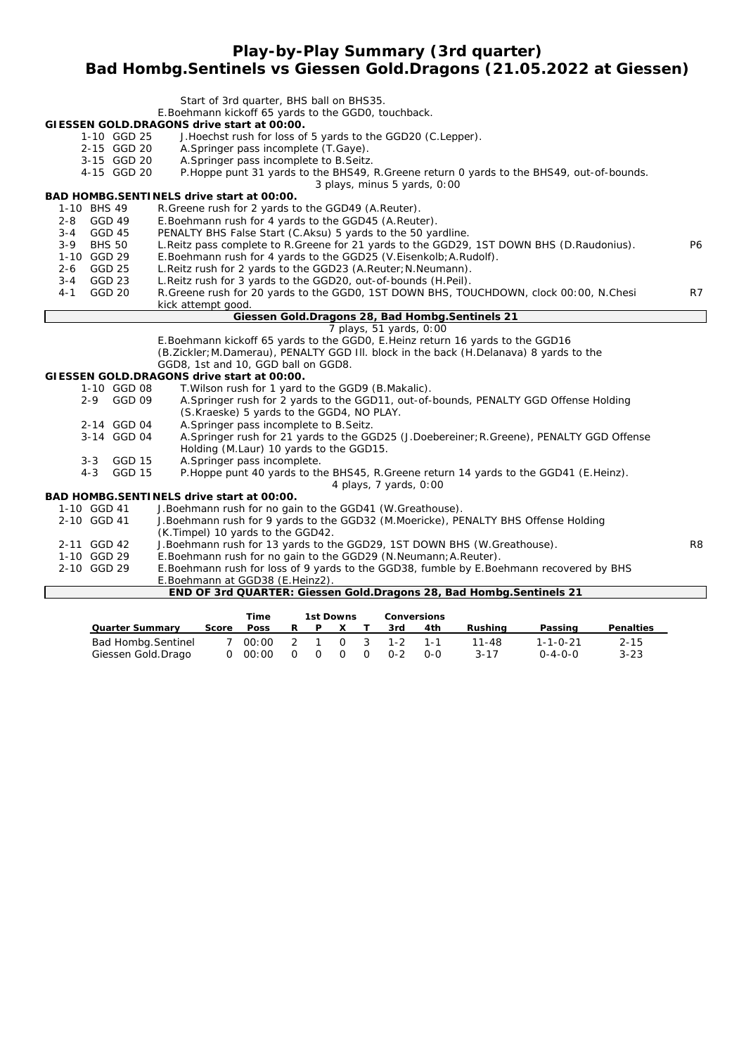**Play-by-Play Summary (3rd quarter)**

#### **Bad Hombg.Sentinels vs Giessen Gold.Dragons (21.05.2022 at Giessen)**

|             |               |               | Start of 3rd quarter, BHS ball on BHS35.                                                    |                |
|-------------|---------------|---------------|---------------------------------------------------------------------------------------------|----------------|
|             |               |               | E.Boehmann kickoff 65 yards to the GGD0, touchback.                                         |                |
|             |               |               | GIESSEN GOLD.DRAGONS drive start at 00:00.                                                  |                |
|             |               | 1-10 GGD 25   | J. Hoechst rush for loss of 5 yards to the GGD20 (C. Lepper).                               |                |
|             |               | 2-15 GGD 20   | A. Springer pass incomplete (T. Gaye).                                                      |                |
|             |               | 3-15 GGD 20   | A. Springer pass incomplete to B. Seitz.                                                    |                |
|             |               | 4-15 GGD 20   | P. Hoppe punt 31 yards to the BHS49, R. Greene return 0 yards to the BHS49, out-of-bounds.  |                |
|             |               |               | 3 plays, minus 5 yards, 0:00                                                                |                |
|             |               |               | BAD HOMBG.SENTINELS drive start at 00:00.                                                   |                |
| 1-10 BHS 49 |               |               | R.Greene rush for 2 yards to the GGD49 (A.Reuter).                                          |                |
| 2-8 GGD 49  |               |               | E. Boehmann rush for 4 yards to the GGD45 (A. Reuter).                                      |                |
| $3 - 4$     | <b>GGD 45</b> |               | PENALTY BHS False Start (C.Aksu) 5 yards to the 50 yardline.                                |                |
| $3 - 9$     | <b>BHS 50</b> |               | L. Reitz pass complete to R. Greene for 21 yards to the GGD29, 1ST DOWN BHS (D. Raudonius). | <b>P6</b>      |
| 1-10 GGD 29 |               |               | E.Boehmann rush for 4 yards to the GGD25 (V.Eisenkolb; A.Rudolf).                           |                |
| $2 - 6$     | GGD 25        |               | L. Reitz rush for 2 yards to the GGD23 (A. Reuter; N. Neumann).                             |                |
| 3-4 GGD 23  |               |               | L. Reitz rush for 3 yards to the GGD20, out-of-bounds (H. Peil).                            |                |
| $4 - 1$     | GGD 20        |               | R. Greene rush for 20 yards to the GGD0, 1ST DOWN BHS, TOUCHDOWN, clock 00:00, N. Chesi     | R7             |
|             |               |               | kick attempt good.                                                                          |                |
|             |               |               | Giessen Gold. Dragons 28, Bad Hombg. Sentinels 21                                           |                |
|             |               |               | 7 plays, 51 yards, 0:00                                                                     |                |
|             |               |               | E.Boehmann kickoff 65 yards to the GGD0, E.Heinz return 16 yards to the GGD16               |                |
|             |               |               | (B.Zickler; M.Damerau), PENALTY GGD III. block in the back (H.Delanava) 8 yards to the      |                |
|             |               |               | GGD8, 1st and 10, GGD ball on GGD8.                                                         |                |
|             |               |               | GIESSEN GOLD.DRAGONS drive start at 00:00.                                                  |                |
|             |               | 1-10 GGD 08   | T. Wilson rush for 1 yard to the GGD9 (B. Makalic).                                         |                |
|             | $2 - 9$       | GGD 09        | A. Springer rush for 2 yards to the GGD11, out-of-bounds, PENALTY GGD Offense Holding       |                |
|             |               |               | (S.Kraeske) 5 yards to the GGD4, NO PLAY.                                                   |                |
|             |               | 2-14 GGD 04   | A. Springer pass incomplete to B. Seitz.                                                    |                |
|             |               | 3-14 GGD 04   | A.Springer rush for 21 yards to the GGD25 (J.Doebereiner; R.Greene), PENALTY GGD Offense    |                |
|             |               |               | Holding (M.Laur) 10 yards to the GGD15.                                                     |                |
|             |               | 3-3 GGD 15    | A.Springer pass incomplete.                                                                 |                |
|             | $4 - 3$       | <b>GGD 15</b> | P. Hoppe punt 40 yards to the BHS45, R. Greene return 14 yards to the GGD41 (E. Heinz).     |                |
|             |               |               | 4 plays, 7 yards, 0:00                                                                      |                |
|             |               |               | BAD HOMBG.SENTINELS drive start at 00:00.                                                   |                |
| 1-10 GGD 41 |               |               | J. Boehmann rush for no gain to the GGD41 (W. Greathouse).                                  |                |
| 2-10 GGD 41 |               |               | J.Boehmann rush for 9 yards to the GGD32 (M.Moericke), PENALTY BHS Offense Holding          |                |
|             |               |               | (K.Timpel) 10 yards to the GGD42.                                                           |                |
| 2-11 GGD 42 |               |               | J.Boehmann rush for 13 yards to the GGD29, 1ST DOWN BHS (W.Greathouse).                     | R <sub>8</sub> |
| 1-10 GGD 29 |               |               | E.Boehmann rush for no gain to the GGD29 (N.Neumann; A.Reuter).                             |                |
| 2-10 GGD 29 |               |               | E.Boehmann rush for loss of 9 yards to the GGD38, fumble by E.Boehmann recovered by BHS     |                |
|             |               |               | E.Boehmann at GGD38 (E.Heinz2).                                                             |                |
|             |               |               | END OF 3rd QUARTER: Giessen Gold.Dragons 28, Bad Hombg.Sentinels 21                         |                |

|                        |       | Time           |                | 1st Downs |                |                | <b>Conversions</b> |     |           |                  |           |
|------------------------|-------|----------------|----------------|-----------|----------------|----------------|--------------------|-----|-----------|------------------|-----------|
| <b>Quarter Summary</b> | Score | <b>Poss</b>    |                |           |                |                | 3rd                | 4th | Rushina   | Passing          | Penalties |
| Bad Hombg. Sentinel    |       | 00:00          |                |           |                |                | 2 1 0 3 1-2 1-1    |     | $11 - 48$ | $1 - 1 - 0 - 21$ | $2 - 15$  |
| Giessen Gold.Drago     |       | $0\quad 00:00$ | $\overline{O}$ | 0         | $\overline{0}$ | $\overline{O}$ | $O-2$              | റ-റ | $3 - 17$  | $0 - 4 - 0 - 0$  | $3 - 23$  |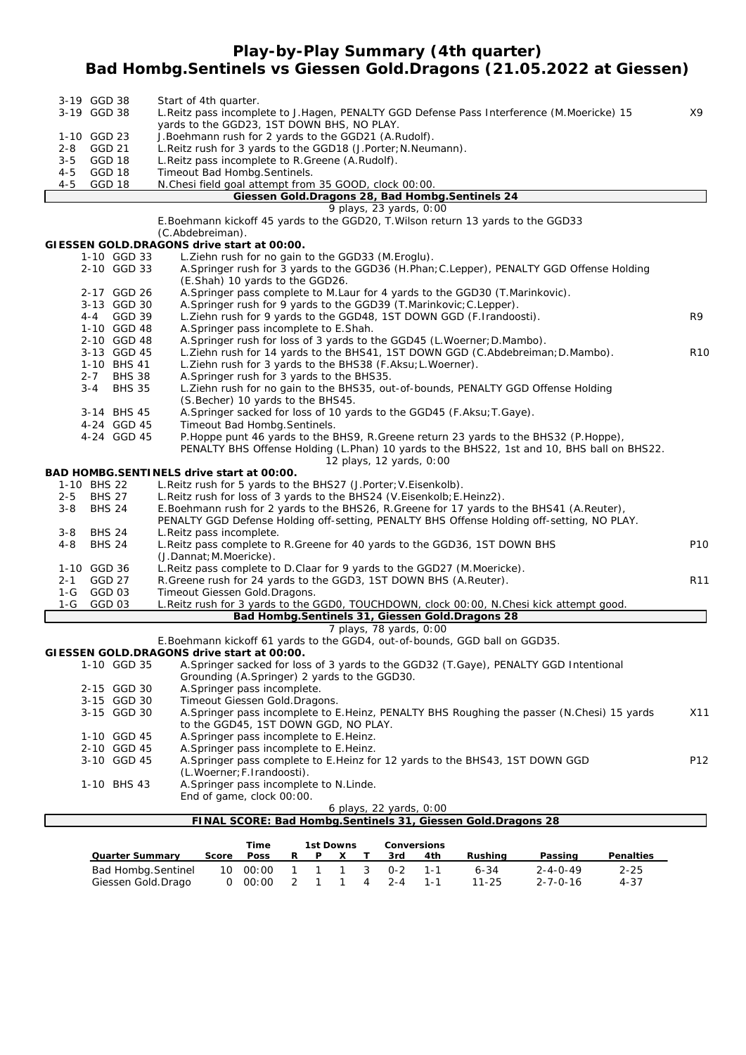## **Play-by-Play Summary (4th quarter) Bad Hombg.Sentinels vs Giessen Gold.Dragons (21.05.2022 at Giessen)**

|                | 3-19 GGD 38   |                   | Start of 4th quarter.                                                                                  |                  |
|----------------|---------------|-------------------|--------------------------------------------------------------------------------------------------------|------------------|
|                | 3-19 GGD 38   |                   | L. Reitz pass incomplete to J. Hagen, PENALTY GGD Defense Pass Interference (M. Moericke) 15           | X9               |
|                |               |                   | yards to the GGD23, 1ST DOWN BHS, NO PLAY.                                                             |                  |
|                | 1-10 GGD 23   |                   | J. Boehmann rush for 2 yards to the GGD21 (A. Rudolf).                                                 |                  |
| $2 - 8$        |               | <b>GGD 21</b>     | L.Reitz rush for 3 yards to the GGD18 (J.Porter; N.Neumann).                                           |                  |
| $3 - 5$<br>4-5 |               | GGD 18<br>GGD 18  | L. Reitz pass incomplete to R. Greene (A. Rudolf).                                                     |                  |
| $4 - 5$        |               | <b>GGD 18</b>     | Timeout Bad Hombg. Sentinels.<br>N.Chesi field goal attempt from 35 GOOD, clock 00:00.                 |                  |
|                |               |                   | Giessen Gold.Dragons 28, Bad Hombg.Sentinels 24                                                        |                  |
|                |               |                   | 9 plays, 23 yards, 0:00                                                                                |                  |
|                |               |                   | E.Boehmann kickoff 45 yards to the GGD20, T. Wilson return 13 yards to the GGD33                       |                  |
|                |               |                   | (C.Abdebreiman).                                                                                       |                  |
|                |               |                   | GIESSEN GOLD.DRAGONS drive start at 00:00.                                                             |                  |
|                |               | 1-10 GGD 33       | L. Ziehn rush for no gain to the GGD33 (M. Eroglu).                                                    |                  |
|                |               | 2-10 GGD 33       | A. Springer rush for 3 yards to the GGD36 (H. Phan; C. Lepper), PENALTY GGD Offense Holding            |                  |
|                |               |                   | (E.Shah) 10 yards to the GGD26.                                                                        |                  |
|                |               | 2-17 GGD 26       | A. Springer pass complete to M. Laur for 4 yards to the GGD30 (T. Marinkovic).                         |                  |
|                |               | 3-13 GGD 30       | A. Springer rush for 9 yards to the GGD39 (T. Marinkovic; C. Lepper).                                  |                  |
|                |               | 4-4 GGD 39        | L. Ziehn rush for 9 yards to the GGD48, 1ST DOWN GGD (F. Irandoosti).                                  | R <sub>9</sub>   |
|                |               | 1-10 GGD 48       | A. Springer pass incomplete to E. Shah.                                                                |                  |
|                |               | 2-10 GGD 48       | A. Springer rush for loss of 3 yards to the GGD45 (L. Woerner; D. Mambo).                              |                  |
|                |               | 3-13 GGD 45       | L. Ziehn rush for 14 yards to the BHS41, 1ST DOWN GGD (C. Abdebreiman; D. Mambo).                      | R <sub>1</sub> C |
|                |               | 1-10 BHS 41       | L. Ziehn rush for 3 yards to the BHS38 (F. Aksu; L. Woerner).                                          |                  |
|                | $2 - 7$       | <b>BHS 38</b>     | A. Springer rush for 3 yards to the BHS35.                                                             |                  |
|                | 3-4           | <b>BHS 35</b>     | L. Ziehn rush for no gain to the BHS35, out-of-bounds, PENALTY GGD Offense Holding                     |                  |
|                |               |                   | (S. Becher) 10 yards to the BHS45.                                                                     |                  |
|                |               | 3-14 BHS 45       | A. Springer sacked for loss of 10 yards to the GGD45 (F. Aksu; T. Gaye).                               |                  |
|                |               | 4-24 GGD 45       | Timeout Bad Hombg. Sentinels.                                                                          |                  |
|                |               | 4-24 GGD 45       | P. Hoppe punt 46 yards to the BHS9, R. Greene return 23 yards to the BHS32 (P. Hoppe),                 |                  |
|                |               |                   | PENALTY BHS Offense Holding (L.Phan) 10 yards to the BHS22, 1st and 10, BHS ball on BHS22.             |                  |
|                |               |                   | 12 plays, 12 yards, 0:00                                                                               |                  |
|                |               |                   | BAD HOMBG.SENTINELS drive start at 00:00.                                                              |                  |
|                | 1-10 BHS 22   |                   | L. Reitz rush for 5 yards to the BHS27 (J. Porter; V. Eisenkolb).                                      |                  |
| $2 - 5$        |               | <b>BHS 27</b>     | L. Reitz rush for loss of 3 yards to the BHS24 (V. Eisenkolb; E. Heinz2).                              |                  |
| 3-8            |               | <b>BHS 24</b>     | E.Boehmann rush for 2 yards to the BHS26, R.Greene for 17 yards to the BHS41 (A.Reuter),               |                  |
|                |               |                   | PENALTY GGD Defense Holding off-setting, PENALTY BHS Offense Holding off-setting, NO PLAY.             |                  |
| $3 - 8$        |               | <b>BHS 24</b>     | L.Reitz pass incomplete.                                                                               |                  |
| $4 - 8$        | <b>BHS 24</b> |                   | L. Reitz pass complete to R. Greene for 40 yards to the GGD36, 1ST DOWN BHS                            | P <sub>10</sub>  |
|                |               |                   | (J.Dannat; M.Moericke).                                                                                |                  |
|                | 1-10 GGD 36   |                   | L. Reitz pass complete to D. Claar for 9 yards to the GGD27 (M. Moericke).                             |                  |
| $2 - 1$        |               | GGD 27            | R. Greene rush for 24 yards to the GGD3, 1ST DOWN BHS (A. Reuter).                                     | R <sub>11</sub>  |
| $1-G$          |               | GGD 03            | Timeout Giessen Gold. Dragons.                                                                         |                  |
| 1-G            |               | GGD <sub>03</sub> | L. Reitz rush for 3 yards to the GGD0, TOUCHDOWN, clock 00:00, N. Chesi kick attempt good.             |                  |
|                |               |                   | Bad Hombg. Sentinels 31, Giessen Gold. Dragons 28                                                      |                  |
|                |               |                   | 7 plays, 78 yards, 0:00<br>E. Boehmann kickoff 61 yards to the GGD4, out-of-bounds, GGD ball on GGD35. |                  |
|                |               |                   | GIESSEN GOLD.DRAGONS drive start at 00:00.                                                             |                  |
|                |               | 1-10 GGD 35       | A. Springer sacked for loss of 3 yards to the GGD32 (T. Gaye), PENALTY GGD Intentional                 |                  |
|                |               |                   | Grounding (A.Springer) 2 yards to the GGD30.                                                           |                  |
|                |               | 2-15 GGD 30       | A.Springer pass incomplete.                                                                            |                  |
|                |               | 3-15 GGD 30       | Timeout Giessen Gold. Dragons.                                                                         |                  |

- 3-15 GGD 30 A.Springer pass incomplete to E.Heinz, PENALTY BHS Roughing the passer (N.Chesi) 15 yards X11 to the GGD45, 1ST DOWN GGD, NO PLAY. 1-10 GGD 45 A.Springer pass incomplete to E.Heinz.
- 2-10 GGD 45 A.Springer pass incomplete to E.Heinz.<br>3-10 GGD 45 A.Springer pass complete to E.Heinz fo A.Springer pass complete to E.Heinz for 12 yards to the BHS43, 1ST DOWN GGD P12 (L.Woerner;F.Irandoosti). 1-10 BHS 43 A.Springer pass incomplete to N.Linde. End of game, clock 00:00.

#### *6 plays, 22 yards, 0:00*

| Time<br>1st Downs      |       |                |                |          | <b>Conversions</b> |         |         |         |                  |                  |
|------------------------|-------|----------------|----------------|----------|--------------------|---------|---------|---------|------------------|------------------|
| <b>Quarter Summary</b> | Score | <b>Poss</b>    | R.             | <b>P</b> |                    | 3rd     | 4th     | Rushina | Passing          | <b>Penalties</b> |
| Bad Hombg. Sentinel    |       | 10 00:00       |                | 1 1 1 3  |                    | በ-2     | $1 - 1$ | 6-34    | $2 - 4 - 0 - 49$ | $2 - 25$         |
| Giessen Gold.Drago     |       | $0\quad 00:00$ | $\overline{2}$ |          | 4                  | $2 - 4$ |         | 11-25   | 2-7-0-16         | $4 - 37$         |

**FINAL SCORE: Bad Hombg.Sentinels 31, Giessen Gold.Dragons 28**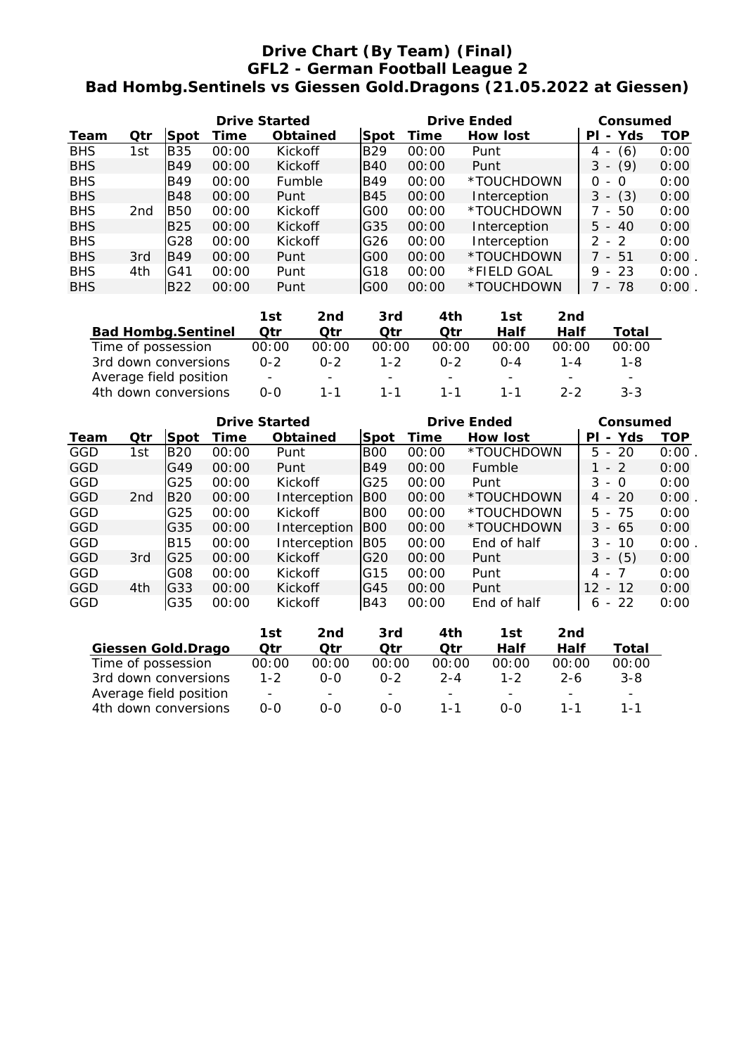## **Drive Chart (By Team) (Final) GFL2 - German Football League 2 Bad Hombg.Sentinels vs Giessen Gold.Dragons (21.05.2022 at Giessen)**

|            |     |            |       | <b>Drive Started</b> |            | <b>Drive Ended</b> | Consumed        |                                      |            |
|------------|-----|------------|-------|----------------------|------------|--------------------|-----------------|--------------------------------------|------------|
| Team       | Qtr | Spot       | Time  | <b>Obtained</b>      | Spot       | Time               | <b>How lost</b> | - Yds<br>ΡI                          | <b>TOP</b> |
| <b>BHS</b> | 1st | <b>B35</b> | 00:00 | <b>Kickoff</b>       | <b>B29</b> | 00:00              | Punt            | (6)<br>4                             | 0:00       |
| <b>BHS</b> |     | <b>B49</b> | 00:00 | <b>Kickoff</b>       | B40        | 00:00              | Punt            | (9)<br>З<br>$\overline{\phantom{a}}$ | 0:00       |
| <b>BHS</b> |     | <b>B49</b> | 00:00 | Fumble               | IB49       | 00:00              | *TOUCHDOWN      | O.<br>- 0                            | 0:00       |
| <b>BHS</b> |     | <b>B48</b> | 00:00 | Punt                 | <b>B45</b> | 00:00              | Interception    | (3)<br>3<br>$\overline{\phantom{a}}$ | 0:00       |
| <b>BHS</b> | 2nd | <b>B50</b> | 00:00 | <b>Kickoff</b>       | G00        | 00:00              | *TOUCHDOWN      | 7 - 50                               | 0:00       |
| <b>BHS</b> |     | <b>B25</b> | 00:00 | Kickoff              | G35        | 00:00              | Interception    | $5 - 40$                             | 0:00       |
| <b>BHS</b> |     | G28        | 00:00 | <b>Kickoff</b>       | G26        | 00:00              | Interception    | $2 - 2$                              | 0:00       |
| <b>BHS</b> | 3rd | IB49       | 00:00 | Punt                 | G00        | 00:00              | *TOUCHDOWN      | $7 - 51$                             | $0:00$ .   |
| <b>BHS</b> | 4th | IG41       | 00:00 | Punt                 | G18        | 00:00              | *FIELD GOAL     | $9 - 23$                             | $0:00$ .   |
| <b>BHS</b> |     | <b>B22</b> | 00:00 | Punt                 | G00        | 00:00              | *TOUCHDOWN      | 7 - 78                               | $0:00$ .   |

|                           | 1st                      | 2nd                      | 3rd                      | 4th                      | 1st                      | 2nd                      |                          |
|---------------------------|--------------------------|--------------------------|--------------------------|--------------------------|--------------------------|--------------------------|--------------------------|
| <b>Bad Hombg.Sentinel</b> | Otr                      | Qtr                      | Otr                      | Otr                      | Half                     | Half                     | Total                    |
| Time of possession        | 00:00                    | 00:00                    | 00:00                    | 00:00                    | 00:00                    | 00:00                    | 00:00                    |
| 3rd down conversions      | $0 - 2$                  | $0 - 2$                  | $1 - 2$                  | $0 - 2$                  | $0 - 4$                  | 1-4                      | 1-8.                     |
| Average field position    | $\overline{\phantom{a}}$ | $\overline{\phantom{0}}$ | $\overline{\phantom{0}}$ | $\overline{\phantom{0}}$ | $\overline{\phantom{0}}$ | $\overline{\phantom{0}}$ | $\overline{\phantom{a}}$ |
| 4th down conversions      | ი-ი                      | 1 - 1                    | 1 - 1                    | $1 - 1$                  | 1 - 1                    | $2 - 2$                  | $3 - 3$                  |

|            |                 |                 | <b>Drive Started</b> |                 |                 | <b>Drive Ended</b> | Consumed        |                                      |      |
|------------|-----------------|-----------------|----------------------|-----------------|-----------------|--------------------|-----------------|--------------------------------------|------|
| Team       | Qtr             | Spot            | Time                 | <b>Obtained</b> | Spot            | Time               | <b>How lost</b> | - Yds<br>ΡI                          | TOP  |
| GGD        | 1st             | <b>B20</b>      | 00:00                | Punt            | B <sub>00</sub> | 00:00              | *TOUCHDOWN      | $5 - 20$                             | 0:00 |
| GGD        |                 | G49             | 00:00                | Punt            | IB49            | 00:00              | Fumble          | $-2$                                 | 0:00 |
| GGD        |                 | G25             | 00:00                | <b>Kickoff</b>  | G25             | 00:00              | Punt            | 3<br>- 0                             | 0:00 |
| <b>GGD</b> | 2 <sub>nd</sub> | <b>B20</b>      | 00:00                | Interception    | IBOO            | 00:00              | *TOUCHDOWN      | $4 - 20$                             | 0:00 |
| GGD        |                 | G25             | 00:00                | <b>Kickoff</b>  | BOO             | 00:00              | *TOUCHDOWN      | 5 - 75                               | 0:00 |
| <b>GGD</b> |                 | G35             | 00:00                | Interception    | BOO             | 00:00              | *TOUCHDOWN      | $3 - 65$                             | 0:00 |
| GGD        |                 | <b>B15</b>      | 00:00                | Interception    | B05             | 00:00              | End of half     | 3<br>-10<br>$\overline{\phantom{a}}$ | 0:00 |
| <b>GGD</b> | 3rd             | G <sub>25</sub> | 00:00                | <b>Kickoff</b>  | G20             | 00:00              | Punt            | (5)<br>3<br>$\overline{\phantom{a}}$ | 0:00 |
| GGD        |                 | G08             | 00:00                | <b>Kickoff</b>  | IG15            | 00:00              | Punt            | $-7$<br>4                            | 0:00 |
| <b>GGD</b> | 4th             | G33             | 00:00                | Kickoff         | IG45            | 00:00              | Punt            | 12 <sub>1</sub><br>$-12$             | 0:00 |
| GGD        |                 | G35             | 00:00                | Kickoff         | <b>B43</b>      | 00:00              | End of half     | $-22$<br>6                           | 0:00 |

|                        | 1st                      | 2nd                      | 3rd                      | 4th                      | 1st                      | 2nd     |                          |
|------------------------|--------------------------|--------------------------|--------------------------|--------------------------|--------------------------|---------|--------------------------|
| Giessen Gold.Drago     | Otr                      | Otr                      | Otr                      | Otr                      | Half                     | Half    | Total                    |
| Time of possession     | 00:00                    | 00:00                    | 00:00                    | 00:00                    | 00:00                    | 00:00   | 00:00                    |
| 3rd down conversions   | $1 - 2$                  | ი-ი                      | $0 - 2$                  | $2 - 4$                  | $1 - 2$                  | $2 - 6$ | $3 - 8$                  |
| Average field position | $\overline{\phantom{0}}$ | $\overline{\phantom{0}}$ | $\overline{\phantom{0}}$ | $\overline{\phantom{0}}$ | $\overline{\phantom{0}}$ |         | $\overline{\phantom{0}}$ |
| 4th down conversions   | ი-ი                      | ი-ი                      | 0-0                      | 1 - 1                    | $O-O$                    | 1 - 1   | 1 - 1                    |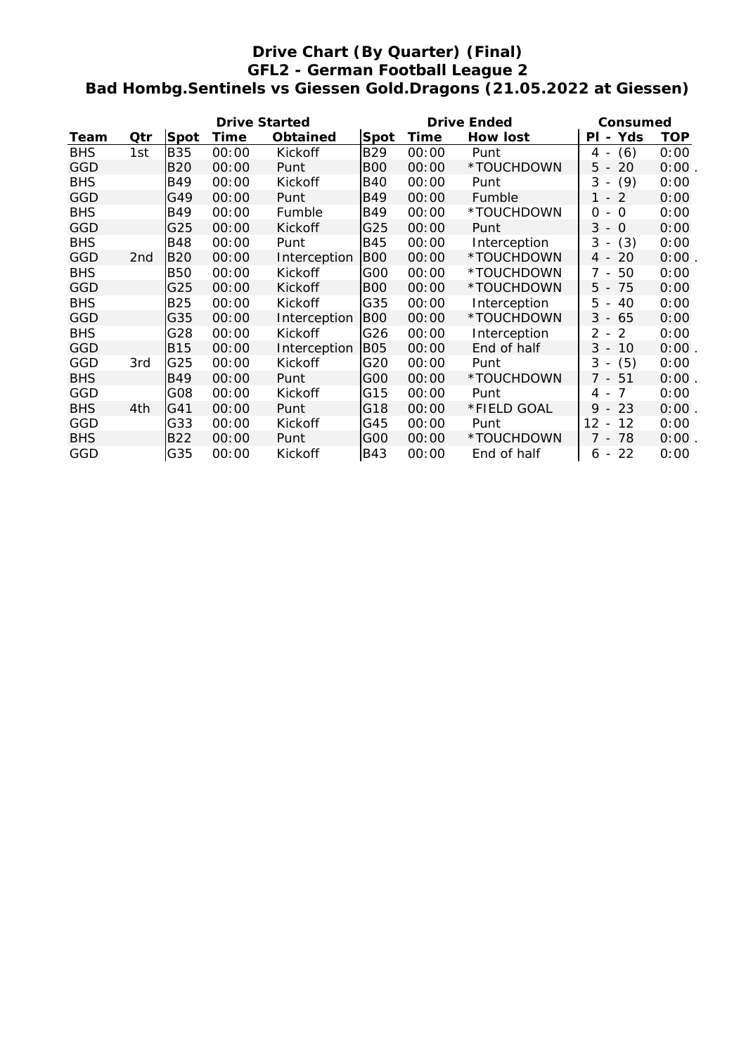## **Drive Chart (By Quarter) (Final) GFL2 - German Football League 2 Bad Hombg.Sentinels vs Giessen Gold.Dragons (21.05.2022 at Giessen)**

|            |                 |            | <b>Drive Started</b> |                 |                 | <b>Drive Ended</b> | Consumed     |                                                     |            |
|------------|-----------------|------------|----------------------|-----------------|-----------------|--------------------|--------------|-----------------------------------------------------|------------|
| Team       | Qtr             | Spot       | Time                 | <b>Obtained</b> | Spot            | Time               | How lost     | - Yds<br>PL                                         | <b>TOP</b> |
| <b>BHS</b> | 1st             | <b>B35</b> | 00:00                | Kickoff         | <b>B29</b>      | 00:00              | Punt         | (6)<br>4<br>$\overline{\phantom{a}}$                | 0:00       |
| GGD        |                 | <b>B20</b> | 00:00                | Punt            | <b>BOO</b>      | 00:00              | *TOUCHDOWN   | 20<br>5 -                                           | 0:00       |
| <b>BHS</b> |                 | B49        | 00:00                | Kickoff         | <b>B40</b>      | 00:00              | Punt         | 3<br>(9)<br>$\overline{\phantom{a}}$                | 0:00       |
| GGD        |                 | G49        | 00:00                | Punt            | <b>B49</b>      | 00:00              | Fumble       | 1 - 2                                               | 0:00       |
| <b>BHS</b> |                 | <b>B49</b> | 00:00                | Fumble          | <b>B49</b>      | 00:00              | *TOUCHDOWN   | $-$ 0<br>0                                          | 0:00       |
| GGD        |                 | G25        | 00:00                | Kickoff         | G25             | 00:00              | Punt         | 3<br>$\Omega$<br>$\overline{\phantom{a}}$           | 0:00       |
| <b>BHS</b> |                 | <b>B48</b> | 00:00                | Punt            | <b>B45</b>      | 00:00              | Interception | (3)<br>3<br>$\overline{\phantom{a}}$                | 0:00       |
| GGD        | 2 <sub>nd</sub> | <b>B20</b> | 00:00                | Interception    | BOO             | 00:00              | *TOUCHDOWN   | 20<br>$4 -$                                         | 0:00       |
| <b>BHS</b> |                 | <b>B50</b> | 00:00                | Kickoff         | G <sub>00</sub> | 00:00              | *TOUCHDOWN   | 50<br>7 -                                           | 0:00       |
| GGD        |                 | G25        | 00:00                | Kickoff         | <b>BOO</b>      | 00:00              | *TOUCHDOWN   | $5 - 75$                                            | 0:00       |
| <b>BHS</b> |                 | <b>B25</b> | 00:00                | Kickoff         | G35             | 00:00              | Interception | 5<br>40<br>$\blacksquare$                           | 0:00       |
| GGD        |                 | G35        | 00:00                | Interception    | <b>BOO</b>      | 00:00              | *TOUCHDOWN   | $3 - 65$                                            | 0:00       |
| <b>BHS</b> |                 | G28        | 00:00                | Kickoff         | G26             | 00:00              | Interception | 2<br>2 -                                            | 0:00       |
| <b>GGD</b> |                 | <b>B15</b> | 00:00                | Interception    | B05             | 00:00              | End of half  | $3 -$<br>10                                         | $0:00$ .   |
| GGD        | 3rd             | G25        | 00:00                | Kickoff         | G20             | 00:00              | Punt         | (5)<br>3<br>$\overline{\phantom{a}}$                | 0:00       |
| <b>BHS</b> |                 | <b>B49</b> | 00:00                | Punt            | G <sub>00</sub> | 00:00              | *TOUCHDOWN   | 7 - 51                                              | 0:00       |
| GGD        |                 | G08        | 00:00                | Kickoff         | G15             | 00:00              | Punt         | 7<br>4 -                                            | 0:00       |
| <b>BHS</b> | 4th             | G41        | 00:00                | Punt            | G18             | 00:00              | *FIELD GOAL  | $9 - 23$                                            | $0:00$ .   |
| GGD        |                 | G33        | 00:00                | Kickoff         | G45             | 00:00              | Punt         | $12 \overline{ }$<br>12<br>$\overline{\phantom{a}}$ | 0:00       |
| <b>BHS</b> |                 | <b>B22</b> | 00:00                | Punt            | G <sub>00</sub> | 00:00              | *TOUCHDOWN   | 7 - 78                                              | 0:00       |
| GGD        |                 | G35        | 00:00                | Kickoff         | <b>B43</b>      | 00:00              | End of half  | 22<br>6 -                                           | 0:00       |